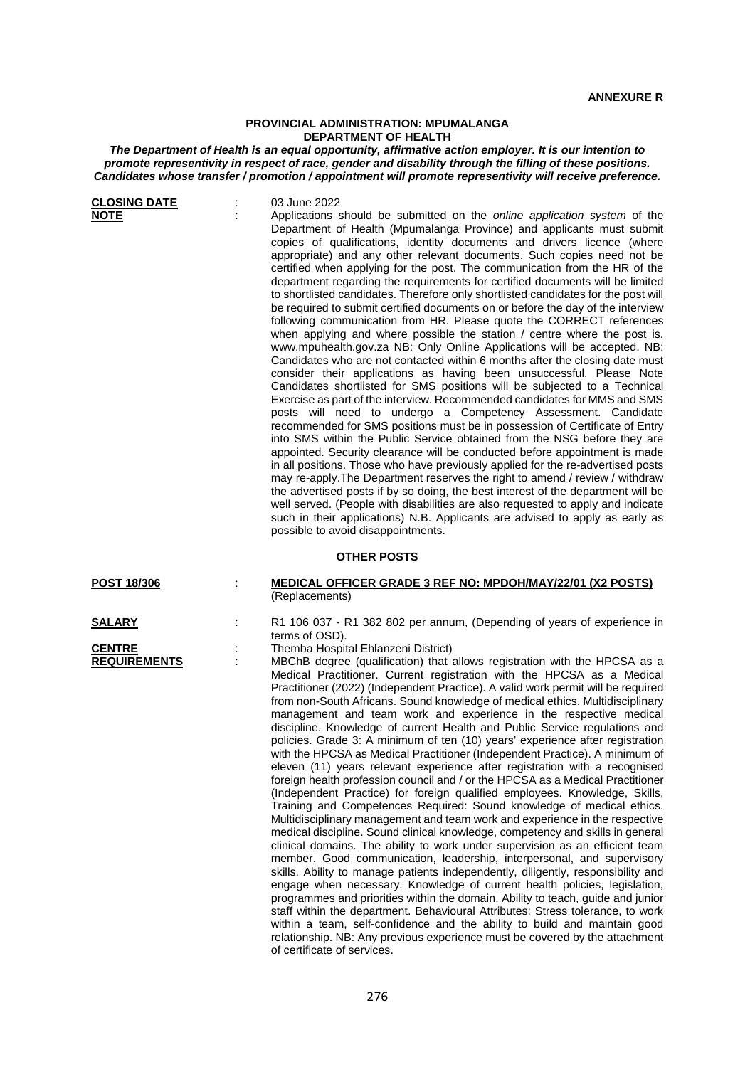## **PROVINCIAL ADMINISTRATION: MPUMALANGA DEPARTMENT OF HEALTH**

*The Department of Health is an equal opportunity, affirmative action employer. It is our intention to promote representivity in respect of race, gender and disability through the filling of these positions. Candidates whose transfer / promotion / appointment will promote representivity will receive preference.*

| <b>CLOSING DATE</b><br><b>NOTE</b>                    |   | 03 June 2022<br>Applications should be submitted on the online application system of the<br>Department of Health (Mpumalanga Province) and applicants must submit<br>copies of qualifications, identity documents and drivers licence (where<br>appropriate) and any other relevant documents. Such copies need not be<br>certified when applying for the post. The communication from the HR of the<br>department regarding the requirements for certified documents will be limited<br>to shortlisted candidates. Therefore only shortlisted candidates for the post will<br>be required to submit certified documents on or before the day of the interview<br>following communication from HR. Please quote the CORRECT references<br>when applying and where possible the station / centre where the post is.<br>www.mpuhealth.gov.za NB: Only Online Applications will be accepted. NB:<br>Candidates who are not contacted within 6 months after the closing date must<br>consider their applications as having been unsuccessful. Please Note<br>Candidates shortlisted for SMS positions will be subjected to a Technical<br>Exercise as part of the interview. Recommended candidates for MMS and SMS<br>posts will need to undergo a Competency Assessment. Candidate<br>recommended for SMS positions must be in possession of Certificate of Entry<br>into SMS within the Public Service obtained from the NSG before they are<br>appointed. Security clearance will be conducted before appointment is made<br>in all positions. Those who have previously applied for the re-advertised posts<br>may re-apply. The Department reserves the right to amend / review / withdraw<br>the advertised posts if by so doing, the best interest of the department will be<br>well served. (People with disabilities are also requested to apply and indicate<br>such in their applications) N.B. Applicants are advised to apply as early as<br>possible to avoid disappointments.<br><b>OTHER POSTS</b> |
|-------------------------------------------------------|---|-----------------------------------------------------------------------------------------------------------------------------------------------------------------------------------------------------------------------------------------------------------------------------------------------------------------------------------------------------------------------------------------------------------------------------------------------------------------------------------------------------------------------------------------------------------------------------------------------------------------------------------------------------------------------------------------------------------------------------------------------------------------------------------------------------------------------------------------------------------------------------------------------------------------------------------------------------------------------------------------------------------------------------------------------------------------------------------------------------------------------------------------------------------------------------------------------------------------------------------------------------------------------------------------------------------------------------------------------------------------------------------------------------------------------------------------------------------------------------------------------------------------------------------------------------------------------------------------------------------------------------------------------------------------------------------------------------------------------------------------------------------------------------------------------------------------------------------------------------------------------------------------------------------------------------------------------------------------------------------------------------------------|
| <u>POST 18/306</u>                                    |   | MEDICAL OFFICER GRADE 3 REF NO: MPDOH/MAY/22/01 (X2 POSTS)<br>(Replacements)                                                                                                                                                                                                                                                                                                                                                                                                                                                                                                                                                                                                                                                                                                                                                                                                                                                                                                                                                                                                                                                                                                                                                                                                                                                                                                                                                                                                                                                                                                                                                                                                                                                                                                                                                                                                                                                                                                                                    |
| <b>SALARY</b><br><b>CENTRE</b><br><b>REQUIREMENTS</b> | t | R1 106 037 - R1 382 802 per annum, (Depending of years of experience in<br>terms of OSD).<br>Themba Hospital Ehlanzeni District)<br>MBChB degree (qualification) that allows registration with the HPCSA as a<br>Medical Practitioner. Current registration with the HPCSA as a Medical<br>Practitioner (2022) (Independent Practice). A valid work permit will be required<br>from non-South Africans. Sound knowledge of medical ethics. Multidisciplinary<br>management and team work and experience in the respective medical<br>discipline. Knowledge of current Health and Public Service regulations and<br>policies. Grade 3: A minimum of ten (10) years' experience after registration<br>with the HPCSA as Medical Practitioner (Independent Practice). A minimum of<br>eleven (11) years relevant experience after registration with a recognised<br>foreign health profession council and / or the HPCSA as a Medical Practitioner<br>(Independent Practice) for foreign qualified employees. Knowledge, Skills,<br>Training and Competences Required: Sound knowledge of medical ethics.<br>Multidisciplinary management and team work and experience in the respective<br>medical discipline. Sound clinical knowledge, competency and skills in general<br>clinical domains. The ability to work under supervision as an efficient team<br>member. Good communication, leadership, interpersonal, and supervisory<br>skills. Ability to manage patients independently, diligently, responsibility and<br>engage when necessary. Knowledge of current health policies, legislation,                                                                                                                                                                                                                                                                                                                                                                                                              |

programmes and priorities within the domain. Ability to teach, guide and junior staff within the department. Behavioural Attributes: Stress tolerance, to work within a team, self-confidence and the ability to build and maintain good relationship. NB: Any previous experience must be covered by the attachment of certificate of services.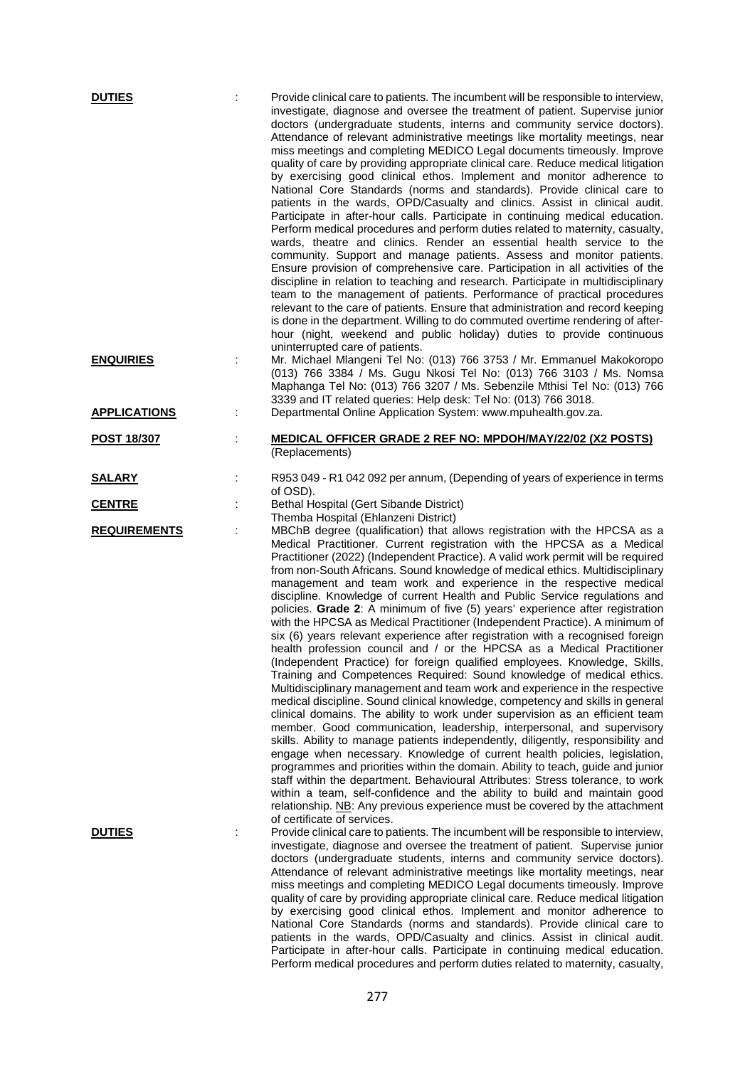| <b>DUTIES</b>       |   | Provide clinical care to patients. The incumbent will be responsible to interview,<br>investigate, diagnose and oversee the treatment of patient. Supervise junior<br>doctors (undergraduate students, interns and community service doctors).<br>Attendance of relevant administrative meetings like mortality meetings, near<br>miss meetings and completing MEDICO Legal documents timeously. Improve<br>quality of care by providing appropriate clinical care. Reduce medical litigation<br>by exercising good clinical ethos. Implement and monitor adherence to<br>National Core Standards (norms and standards). Provide clinical care to<br>patients in the wards, OPD/Casualty and clinics. Assist in clinical audit.<br>Participate in after-hour calls. Participate in continuing medical education.<br>Perform medical procedures and perform duties related to maternity, casualty,<br>wards, theatre and clinics. Render an essential health service to the<br>community. Support and manage patients. Assess and monitor patients.<br>Ensure provision of comprehensive care. Participation in all activities of the<br>discipline in relation to teaching and research. Participate in multidisciplinary<br>team to the management of patients. Performance of practical procedures<br>relevant to the care of patients. Ensure that administration and record keeping<br>is done in the department. Willing to do commuted overtime rendering of after-<br>hour (night, weekend and public holiday) duties to provide continuous                                                                                                                                                                                                                                                                                                                 |
|---------------------|---|--------------------------------------------------------------------------------------------------------------------------------------------------------------------------------------------------------------------------------------------------------------------------------------------------------------------------------------------------------------------------------------------------------------------------------------------------------------------------------------------------------------------------------------------------------------------------------------------------------------------------------------------------------------------------------------------------------------------------------------------------------------------------------------------------------------------------------------------------------------------------------------------------------------------------------------------------------------------------------------------------------------------------------------------------------------------------------------------------------------------------------------------------------------------------------------------------------------------------------------------------------------------------------------------------------------------------------------------------------------------------------------------------------------------------------------------------------------------------------------------------------------------------------------------------------------------------------------------------------------------------------------------------------------------------------------------------------------------------------------------------------------------------------------------------------------------------------------------------------------------|
| <b>ENQUIRIES</b>    |   | uninterrupted care of patients.<br>Mr. Michael Mlangeni Tel No: (013) 766 3753 / Mr. Emmanuel Makokoropo<br>(013) 766 3384 / Ms. Gugu Nkosi Tel No: (013) 766 3103 / Ms. Nomsa<br>Maphanga Tel No: (013) 766 3207 / Ms. Sebenzile Mthisi Tel No: (013) 766<br>3339 and IT related queries: Help desk: Tel No: (013) 766 3018.                                                                                                                                                                                                                                                                                                                                                                                                                                                                                                                                                                                                                                                                                                                                                                                                                                                                                                                                                                                                                                                                                                                                                                                                                                                                                                                                                                                                                                                                                                                                      |
| <b>APPLICATIONS</b> | ÷ | Departmental Online Application System: www.mpuhealth.gov.za.                                                                                                                                                                                                                                                                                                                                                                                                                                                                                                                                                                                                                                                                                                                                                                                                                                                                                                                                                                                                                                                                                                                                                                                                                                                                                                                                                                                                                                                                                                                                                                                                                                                                                                                                                                                                      |
| <b>POST 18/307</b>  |   | <b>MEDICAL OFFICER GRADE 2 REF NO: MPDOH/MAY/22/02 (X2 POSTS)</b><br>(Replacements)                                                                                                                                                                                                                                                                                                                                                                                                                                                                                                                                                                                                                                                                                                                                                                                                                                                                                                                                                                                                                                                                                                                                                                                                                                                                                                                                                                                                                                                                                                                                                                                                                                                                                                                                                                                |
| <b>SALARY</b>       |   | R953 049 - R1 042 092 per annum, (Depending of years of experience in terms                                                                                                                                                                                                                                                                                                                                                                                                                                                                                                                                                                                                                                                                                                                                                                                                                                                                                                                                                                                                                                                                                                                                                                                                                                                                                                                                                                                                                                                                                                                                                                                                                                                                                                                                                                                        |
| <b>CENTRE</b>       |   | of OSD).<br>Bethal Hospital (Gert Sibande District)                                                                                                                                                                                                                                                                                                                                                                                                                                                                                                                                                                                                                                                                                                                                                                                                                                                                                                                                                                                                                                                                                                                                                                                                                                                                                                                                                                                                                                                                                                                                                                                                                                                                                                                                                                                                                |
| <b>REQUIREMENTS</b> |   | Themba Hospital (Ehlanzeni District)<br>MBChB degree (qualification) that allows registration with the HPCSA as a<br>Medical Practitioner. Current registration with the HPCSA as a Medical<br>Practitioner (2022) (Independent Practice). A valid work permit will be required<br>from non-South Africans. Sound knowledge of medical ethics. Multidisciplinary<br>management and team work and experience in the respective medical<br>discipline. Knowledge of current Health and Public Service regulations and<br>policies. Grade 2: A minimum of five (5) years' experience after registration<br>with the HPCSA as Medical Practitioner (Independent Practice). A minimum of<br>six (6) years relevant experience after registration with a recognised foreign<br>health profession council and / or the HPCSA as a Medical Practitioner<br>(Independent Practice) for foreign qualified employees. Knowledge, Skills,<br>Training and Competences Required: Sound knowledge of medical ethics.<br>Multidisciplinary management and team work and experience in the respective<br>medical discipline. Sound clinical knowledge, competency and skills in general<br>clinical domains. The ability to work under supervision as an efficient team<br>member. Good communication, leadership, interpersonal, and supervisory<br>skills. Ability to manage patients independently, diligently, responsibility and<br>engage when necessary. Knowledge of current health policies, legislation,<br>programmes and priorities within the domain. Ability to teach, guide and junior<br>staff within the department. Behavioural Attributes: Stress tolerance, to work<br>within a team, self-confidence and the ability to build and maintain good<br>relationship. NB: Any previous experience must be covered by the attachment<br>of certificate of services. |
| <b>DUTIES</b>       |   | Provide clinical care to patients. The incumbent will be responsible to interview,<br>investigate, diagnose and oversee the treatment of patient. Supervise junior<br>doctors (undergraduate students, interns and community service doctors).<br>Attendance of relevant administrative meetings like mortality meetings, near<br>miss meetings and completing MEDICO Legal documents timeously. Improve<br>quality of care by providing appropriate clinical care. Reduce medical litigation<br>by exercising good clinical ethos. Implement and monitor adherence to<br>National Core Standards (norms and standards). Provide clinical care to<br>patients in the wards, OPD/Casualty and clinics. Assist in clinical audit.<br>Participate in after-hour calls. Participate in continuing medical education.<br>Perform medical procedures and perform duties related to maternity, casualty,                                                                                                                                                                                                                                                                                                                                                                                                                                                                                                                                                                                                                                                                                                                                                                                                                                                                                                                                                                  |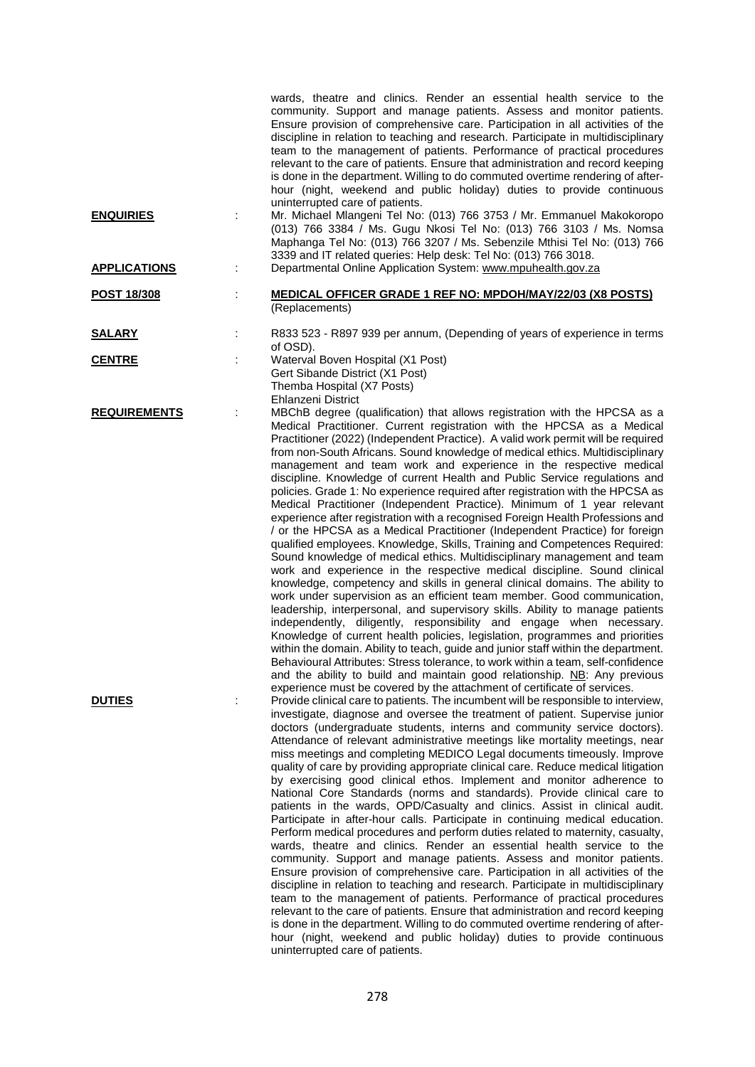|                     |   | wards, theatre and clinics. Render an essential health service to the<br>community. Support and manage patients. Assess and monitor patients.<br>Ensure provision of comprehensive care. Participation in all activities of the<br>discipline in relation to teaching and research. Participate in multidisciplinary<br>team to the management of patients. Performance of practical procedures<br>relevant to the care of patients. Ensure that administration and record keeping<br>is done in the department. Willing to do commuted overtime rendering of after-<br>hour (night, weekend and public holiday) duties to provide continuous<br>uninterrupted care of patients.                                                                                                                                                                                                                                                                                                                                                                                                                                                                                                                                                                                                                                                                                                                                                                                                                                                                                                                                                                                                                                                                                                       |
|---------------------|---|----------------------------------------------------------------------------------------------------------------------------------------------------------------------------------------------------------------------------------------------------------------------------------------------------------------------------------------------------------------------------------------------------------------------------------------------------------------------------------------------------------------------------------------------------------------------------------------------------------------------------------------------------------------------------------------------------------------------------------------------------------------------------------------------------------------------------------------------------------------------------------------------------------------------------------------------------------------------------------------------------------------------------------------------------------------------------------------------------------------------------------------------------------------------------------------------------------------------------------------------------------------------------------------------------------------------------------------------------------------------------------------------------------------------------------------------------------------------------------------------------------------------------------------------------------------------------------------------------------------------------------------------------------------------------------------------------------------------------------------------------------------------------------------|
| <b>ENQUIRIES</b>    |   | Mr. Michael Mlangeni Tel No: (013) 766 3753 / Mr. Emmanuel Makokoropo<br>(013) 766 3384 / Ms. Gugu Nkosi Tel No: (013) 766 3103 / Ms. Nomsa<br>Maphanga Tel No: (013) 766 3207 / Ms. Sebenzile Mthisi Tel No: (013) 766<br>3339 and IT related queries: Help desk: Tel No: (013) 766 3018.                                                                                                                                                                                                                                                                                                                                                                                                                                                                                                                                                                                                                                                                                                                                                                                                                                                                                                                                                                                                                                                                                                                                                                                                                                                                                                                                                                                                                                                                                             |
| <b>APPLICATIONS</b> | ÷ | Departmental Online Application System: www.mpuhealth.gov.za                                                                                                                                                                                                                                                                                                                                                                                                                                                                                                                                                                                                                                                                                                                                                                                                                                                                                                                                                                                                                                                                                                                                                                                                                                                                                                                                                                                                                                                                                                                                                                                                                                                                                                                           |
| <u>POST 18/308</u>  |   | <b>MEDICAL OFFICER GRADE 1 REF NO: MPDOH/MAY/22/03 (X8 POSTS)</b><br>(Replacements)                                                                                                                                                                                                                                                                                                                                                                                                                                                                                                                                                                                                                                                                                                                                                                                                                                                                                                                                                                                                                                                                                                                                                                                                                                                                                                                                                                                                                                                                                                                                                                                                                                                                                                    |
| <b>SALARY</b>       |   | R833 523 - R897 939 per annum, (Depending of years of experience in terms                                                                                                                                                                                                                                                                                                                                                                                                                                                                                                                                                                                                                                                                                                                                                                                                                                                                                                                                                                                                                                                                                                                                                                                                                                                                                                                                                                                                                                                                                                                                                                                                                                                                                                              |
| <b>CENTRE</b>       |   | of OSD).<br>Waterval Boven Hospital (X1 Post)<br>Gert Sibande District (X1 Post)<br>Themba Hospital (X7 Posts)<br>Ehlanzeni District                                                                                                                                                                                                                                                                                                                                                                                                                                                                                                                                                                                                                                                                                                                                                                                                                                                                                                                                                                                                                                                                                                                                                                                                                                                                                                                                                                                                                                                                                                                                                                                                                                                   |
| <b>REQUIREMENTS</b> |   | MBChB degree (qualification) that allows registration with the HPCSA as a<br>Medical Practitioner. Current registration with the HPCSA as a Medical<br>Practitioner (2022) (Independent Practice). A valid work permit will be required<br>from non-South Africans. Sound knowledge of medical ethics. Multidisciplinary<br>management and team work and experience in the respective medical<br>discipline. Knowledge of current Health and Public Service regulations and<br>policies. Grade 1: No experience required after registration with the HPCSA as<br>Medical Practitioner (Independent Practice). Minimum of 1 year relevant<br>experience after registration with a recognised Foreign Health Professions and<br>/ or the HPCSA as a Medical Practitioner (Independent Practice) for foreign<br>qualified employees. Knowledge, Skills, Training and Competences Required:<br>Sound knowledge of medical ethics. Multidisciplinary management and team<br>work and experience in the respective medical discipline. Sound clinical<br>knowledge, competency and skills in general clinical domains. The ability to<br>work under supervision as an efficient team member. Good communication,<br>leadership, interpersonal, and supervisory skills. Ability to manage patients<br>independently, diligently, responsibility and engage when necessary.<br>Knowledge of current health policies, legislation, programmes and priorities<br>within the domain. Ability to teach, guide and junior staff within the department.<br>Behavioural Attributes: Stress tolerance, to work within a team, self-confidence<br>and the ability to build and maintain good relationship. NB: Any previous<br>experience must be covered by the attachment of certificate of services. |
| <b>DUTIES</b>       |   | Provide clinical care to patients. The incumbent will be responsible to interview,<br>investigate, diagnose and oversee the treatment of patient. Supervise junior<br>doctors (undergraduate students, interns and community service doctors).<br>Attendance of relevant administrative meetings like mortality meetings, near<br>miss meetings and completing MEDICO Legal documents timeously. Improve<br>quality of care by providing appropriate clinical care. Reduce medical litigation<br>by exercising good clinical ethos. Implement and monitor adherence to<br>National Core Standards (norms and standards). Provide clinical care to<br>patients in the wards, OPD/Casualty and clinics. Assist in clinical audit.<br>Participate in after-hour calls. Participate in continuing medical education.<br>Perform medical procedures and perform duties related to maternity, casualty,<br>wards, theatre and clinics. Render an essential health service to the<br>community. Support and manage patients. Assess and monitor patients.<br>Ensure provision of comprehensive care. Participation in all activities of the<br>discipline in relation to teaching and research. Participate in multidisciplinary<br>team to the management of patients. Performance of practical procedures<br>relevant to the care of patients. Ensure that administration and record keeping<br>is done in the department. Willing to do commuted overtime rendering of after-<br>hour (night, weekend and public holiday) duties to provide continuous<br>uninterrupted care of patients.                                                                                                                                                                                                  |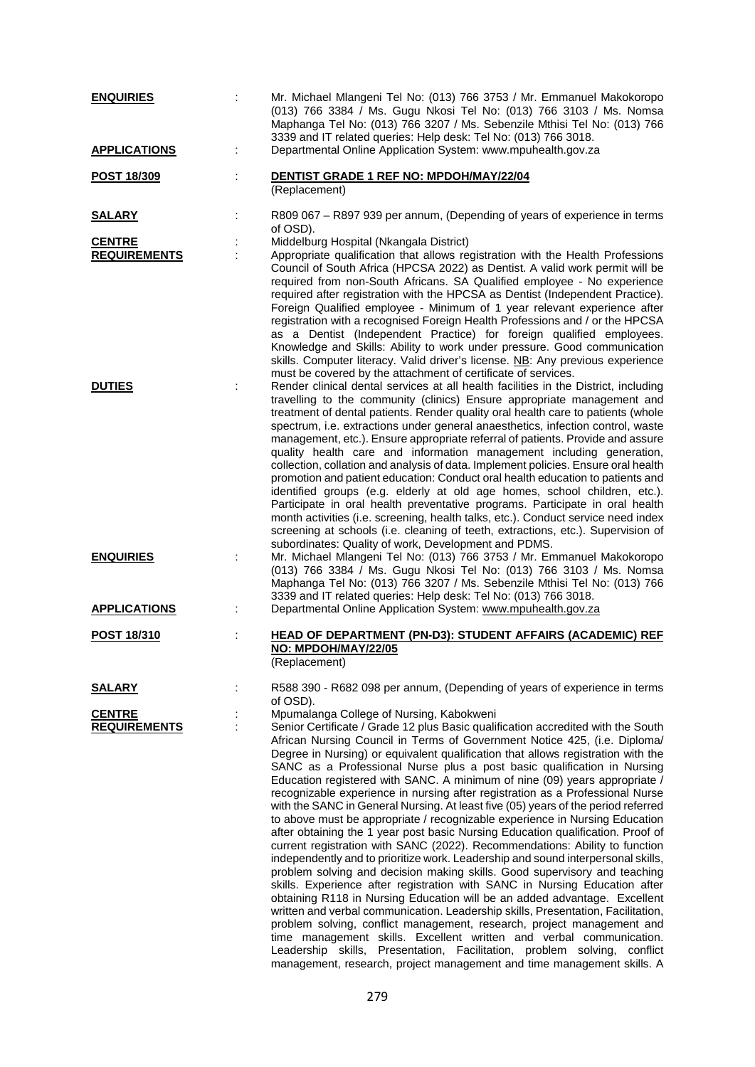| <b>ENQUIRIES</b>                     | Mr. Michael Mlangeni Tel No: (013) 766 3753 / Mr. Emmanuel Makokoropo<br>(013) 766 3384 / Ms. Gugu Nkosi Tel No: (013) 766 3103 / Ms. Nomsa<br>Maphanga Tel No: (013) 766 3207 / Ms. Sebenzile Mthisi Tel No: (013) 766<br>3339 and IT related queries: Help desk: Tel No: (013) 766 3018.                                                                                                                                                                                                                                                                                                                                                                                                                                                                                                                                                                                                                                                                                                                                                                                                                                                                                                                                                                                                                                                                                                                                                                                                                                                                                                           |
|--------------------------------------|------------------------------------------------------------------------------------------------------------------------------------------------------------------------------------------------------------------------------------------------------------------------------------------------------------------------------------------------------------------------------------------------------------------------------------------------------------------------------------------------------------------------------------------------------------------------------------------------------------------------------------------------------------------------------------------------------------------------------------------------------------------------------------------------------------------------------------------------------------------------------------------------------------------------------------------------------------------------------------------------------------------------------------------------------------------------------------------------------------------------------------------------------------------------------------------------------------------------------------------------------------------------------------------------------------------------------------------------------------------------------------------------------------------------------------------------------------------------------------------------------------------------------------------------------------------------------------------------------|
| <b>APPLICATIONS</b>                  | Departmental Online Application System: www.mpuhealth.gov.za<br>÷                                                                                                                                                                                                                                                                                                                                                                                                                                                                                                                                                                                                                                                                                                                                                                                                                                                                                                                                                                                                                                                                                                                                                                                                                                                                                                                                                                                                                                                                                                                                    |
| POST 18/309                          | DENTIST GRADE 1 REF NO: MPDOH/MAY/22/04<br>(Replacement)                                                                                                                                                                                                                                                                                                                                                                                                                                                                                                                                                                                                                                                                                                                                                                                                                                                                                                                                                                                                                                                                                                                                                                                                                                                                                                                                                                                                                                                                                                                                             |
| <u>SALARY</u>                        | R809 067 - R897 939 per annum, (Depending of years of experience in terms<br>of OSD).                                                                                                                                                                                                                                                                                                                                                                                                                                                                                                                                                                                                                                                                                                                                                                                                                                                                                                                                                                                                                                                                                                                                                                                                                                                                                                                                                                                                                                                                                                                |
| <b>CENTRE</b><br><b>REQUIREMENTS</b> | Middelburg Hospital (Nkangala District)<br>Appropriate qualification that allows registration with the Health Professions<br>Council of South Africa (HPCSA 2022) as Dentist. A valid work permit will be<br>required from non-South Africans. SA Qualified employee - No experience<br>required after registration with the HPCSA as Dentist (Independent Practice).<br>Foreign Qualified employee - Minimum of 1 year relevant experience after<br>registration with a recognised Foreign Health Professions and / or the HPCSA<br>as a Dentist (Independent Practice) for foreign qualified employees.<br>Knowledge and Skills: Ability to work under pressure. Good communication<br>skills. Computer literacy. Valid driver's license. NB: Any previous experience<br>must be covered by the attachment of certificate of services.                                                                                                                                                                                                                                                                                                                                                                                                                                                                                                                                                                                                                                                                                                                                                             |
| <b>DUTIES</b>                        | Render clinical dental services at all health facilities in the District, including<br>travelling to the community (clinics) Ensure appropriate management and<br>treatment of dental patients. Render quality oral health care to patients (whole<br>spectrum, i.e. extractions under general anaesthetics, infection control, waste<br>management, etc.). Ensure appropriate referral of patients. Provide and assure<br>quality health care and information management including generation,<br>collection, collation and analysis of data. Implement policies. Ensure oral health<br>promotion and patient education: Conduct oral health education to patients and<br>identified groups (e.g. elderly at old age homes, school children, etc.).<br>Participate in oral health preventative programs. Participate in oral health<br>month activities (i.e. screening, health talks, etc.). Conduct service need index<br>screening at schools (i.e. cleaning of teeth, extractions, etc.). Supervision of<br>subordinates: Quality of work, Development and PDMS.                                                                                                                                                                                                                                                                                                                                                                                                                                                                                                                                |
| <b>ENQUIRIES</b>                     | Mr. Michael Mlangeni Tel No: (013) 766 3753 / Mr. Emmanuel Makokoropo<br>(013) 766 3384 / Ms. Gugu Nkosi Tel No: (013) 766 3103 / Ms. Nomsa<br>Maphanga Tel No: (013) 766 3207 / Ms. Sebenzile Mthisi Tel No: (013) 766<br>3339 and IT related queries: Help desk: Tel No: (013) 766 3018.                                                                                                                                                                                                                                                                                                                                                                                                                                                                                                                                                                                                                                                                                                                                                                                                                                                                                                                                                                                                                                                                                                                                                                                                                                                                                                           |
| <b>APPLICATIONS</b>                  | Departmental Online Application System: www.mpuhealth.gov.za                                                                                                                                                                                                                                                                                                                                                                                                                                                                                                                                                                                                                                                                                                                                                                                                                                                                                                                                                                                                                                                                                                                                                                                                                                                                                                                                                                                                                                                                                                                                         |
| <b>POST 18/310</b>                   | HEAD OF DEPARTMENT (PN-D3): STUDENT AFFAIRS (ACADEMIC) REF<br>NO: MPDOH/MAY/22/05<br>(Replacement)                                                                                                                                                                                                                                                                                                                                                                                                                                                                                                                                                                                                                                                                                                                                                                                                                                                                                                                                                                                                                                                                                                                                                                                                                                                                                                                                                                                                                                                                                                   |
| <b>SALARY</b>                        | R588 390 - R682 098 per annum, (Depending of years of experience in terms<br>of OSD).                                                                                                                                                                                                                                                                                                                                                                                                                                                                                                                                                                                                                                                                                                                                                                                                                                                                                                                                                                                                                                                                                                                                                                                                                                                                                                                                                                                                                                                                                                                |
| <b>CENTRE</b><br><b>REQUIREMENTS</b> | Mpumalanga College of Nursing, Kabokweni<br>Senior Certificate / Grade 12 plus Basic qualification accredited with the South<br>African Nursing Council in Terms of Government Notice 425, (i.e. Diploma/<br>Degree in Nursing) or equivalent qualification that allows registration with the<br>SANC as a Professional Nurse plus a post basic qualification in Nursing<br>Education registered with SANC. A minimum of nine (09) years appropriate /<br>recognizable experience in nursing after registration as a Professional Nurse<br>with the SANC in General Nursing. At least five (05) years of the period referred<br>to above must be appropriate / recognizable experience in Nursing Education<br>after obtaining the 1 year post basic Nursing Education qualification. Proof of<br>current registration with SANC (2022). Recommendations: Ability to function<br>independently and to prioritize work. Leadership and sound interpersonal skills,<br>problem solving and decision making skills. Good supervisory and teaching<br>skills. Experience after registration with SANC in Nursing Education after<br>obtaining R118 in Nursing Education will be an added advantage. Excellent<br>written and verbal communication. Leadership skills, Presentation, Facilitation,<br>problem solving, conflict management, research, project management and<br>time management skills. Excellent written and verbal communication.<br>Leadership skills, Presentation, Facilitation, problem solving, conflict<br>management, research, project management and time management skills. A |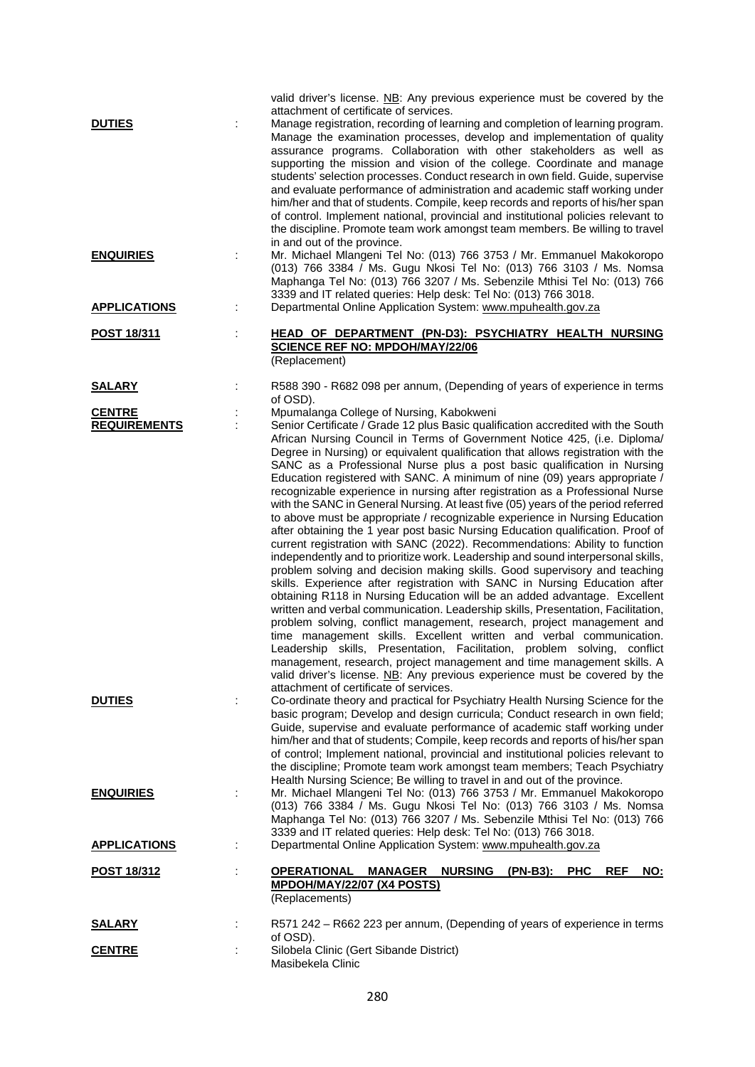|                                      |   | valid driver's license. NB: Any previous experience must be covered by the                                                                                                                                                                                                                                                                                                                                                                                                                                                                                                                                                                                                                                                                                                                                                                                                                                                                                                                                                                                                                                                                                                                                                                                                                                                                                                                                                                                                                                                                                                                                                                                                                                                   |
|--------------------------------------|---|------------------------------------------------------------------------------------------------------------------------------------------------------------------------------------------------------------------------------------------------------------------------------------------------------------------------------------------------------------------------------------------------------------------------------------------------------------------------------------------------------------------------------------------------------------------------------------------------------------------------------------------------------------------------------------------------------------------------------------------------------------------------------------------------------------------------------------------------------------------------------------------------------------------------------------------------------------------------------------------------------------------------------------------------------------------------------------------------------------------------------------------------------------------------------------------------------------------------------------------------------------------------------------------------------------------------------------------------------------------------------------------------------------------------------------------------------------------------------------------------------------------------------------------------------------------------------------------------------------------------------------------------------------------------------------------------------------------------------|
| <b>DUTIES</b>                        |   | attachment of certificate of services.<br>Manage registration, recording of learning and completion of learning program.<br>Manage the examination processes, develop and implementation of quality<br>assurance programs. Collaboration with other stakeholders as well as<br>supporting the mission and vision of the college. Coordinate and manage<br>students' selection processes. Conduct research in own field. Guide, supervise<br>and evaluate performance of administration and academic staff working under<br>him/her and that of students. Compile, keep records and reports of his/her span<br>of control. Implement national, provincial and institutional policies relevant to<br>the discipline. Promote team work amongst team members. Be willing to travel<br>in and out of the province.                                                                                                                                                                                                                                                                                                                                                                                                                                                                                                                                                                                                                                                                                                                                                                                                                                                                                                               |
| <b>ENQUIRIES</b>                     |   | Mr. Michael Mlangeni Tel No: (013) 766 3753 / Mr. Emmanuel Makokoropo<br>(013) 766 3384 / Ms. Gugu Nkosi Tel No: (013) 766 3103 / Ms. Nomsa<br>Maphanga Tel No: (013) 766 3207 / Ms. Sebenzile Mthisi Tel No: (013) 766<br>3339 and IT related queries: Help desk: Tel No: (013) 766 3018.                                                                                                                                                                                                                                                                                                                                                                                                                                                                                                                                                                                                                                                                                                                                                                                                                                                                                                                                                                                                                                                                                                                                                                                                                                                                                                                                                                                                                                   |
| <b>APPLICATIONS</b>                  |   | Departmental Online Application System: www.mpuhealth.gov.za                                                                                                                                                                                                                                                                                                                                                                                                                                                                                                                                                                                                                                                                                                                                                                                                                                                                                                                                                                                                                                                                                                                                                                                                                                                                                                                                                                                                                                                                                                                                                                                                                                                                 |
| <b>POST 18/311</b>                   | t | <b>HEAD OF DEPARTMENT (PN-D3): PSYCHIATRY HEALTH NURSING</b><br><b>SCIENCE REF NO: MPDOH/MAY/22/06</b><br>(Replacement)                                                                                                                                                                                                                                                                                                                                                                                                                                                                                                                                                                                                                                                                                                                                                                                                                                                                                                                                                                                                                                                                                                                                                                                                                                                                                                                                                                                                                                                                                                                                                                                                      |
| <b>SALARY</b>                        |   | R588 390 - R682 098 per annum, (Depending of years of experience in terms<br>of OSD).                                                                                                                                                                                                                                                                                                                                                                                                                                                                                                                                                                                                                                                                                                                                                                                                                                                                                                                                                                                                                                                                                                                                                                                                                                                                                                                                                                                                                                                                                                                                                                                                                                        |
| <b>CENTRE</b><br><b>REQUIREMENTS</b> |   | Mpumalanga College of Nursing, Kabokweni<br>Senior Certificate / Grade 12 plus Basic qualification accredited with the South<br>African Nursing Council in Terms of Government Notice 425, (i.e. Diploma/<br>Degree in Nursing) or equivalent qualification that allows registration with the<br>SANC as a Professional Nurse plus a post basic qualification in Nursing<br>Education registered with SANC. A minimum of nine (09) years appropriate /<br>recognizable experience in nursing after registration as a Professional Nurse<br>with the SANC in General Nursing. At least five (05) years of the period referred<br>to above must be appropriate / recognizable experience in Nursing Education<br>after obtaining the 1 year post basic Nursing Education qualification. Proof of<br>current registration with SANC (2022). Recommendations: Ability to function<br>independently and to prioritize work. Leadership and sound interpersonal skills,<br>problem solving and decision making skills. Good supervisory and teaching<br>skills. Experience after registration with SANC in Nursing Education after<br>obtaining R118 in Nursing Education will be an added advantage. Excellent<br>written and verbal communication. Leadership skills, Presentation, Facilitation,<br>problem solving, conflict management, research, project management and<br>time management skills. Excellent written and verbal communication.<br>Leadership skills, Presentation, Facilitation, problem solving, conflict<br>management, research, project management and time management skills. A<br>valid driver's license. NB: Any previous experience must be covered by the<br>attachment of certificate of services. |
| <b>DUTIES</b>                        |   | Co-ordinate theory and practical for Psychiatry Health Nursing Science for the<br>basic program; Develop and design curricula; Conduct research in own field;<br>Guide, supervise and evaluate performance of academic staff working under<br>him/her and that of students; Compile, keep records and reports of his/her span<br>of control; Implement national, provincial and institutional policies relevant to<br>the discipline; Promote team work amongst team members; Teach Psychiatry<br>Health Nursing Science; Be willing to travel in and out of the province.                                                                                                                                                                                                                                                                                                                                                                                                                                                                                                                                                                                                                                                                                                                                                                                                                                                                                                                                                                                                                                                                                                                                                   |
| <b>ENQUIRIES</b>                     |   | Mr. Michael Mlangeni Tel No: (013) 766 3753 / Mr. Emmanuel Makokoropo<br>(013) 766 3384 / Ms. Gugu Nkosi Tel No: (013) 766 3103 / Ms. Nomsa<br>Maphanga Tel No: (013) 766 3207 / Ms. Sebenzile Mthisi Tel No: (013) 766<br>3339 and IT related queries: Help desk: Tel No: (013) 766 3018.                                                                                                                                                                                                                                                                                                                                                                                                                                                                                                                                                                                                                                                                                                                                                                                                                                                                                                                                                                                                                                                                                                                                                                                                                                                                                                                                                                                                                                   |
| <b>APPLICATIONS</b>                  |   | Departmental Online Application System: www.mpuhealth.gov.za                                                                                                                                                                                                                                                                                                                                                                                                                                                                                                                                                                                                                                                                                                                                                                                                                                                                                                                                                                                                                                                                                                                                                                                                                                                                                                                                                                                                                                                                                                                                                                                                                                                                 |
| <u>POST 18/312</u>                   |   | <b>MANAGER NURSING</b><br><b>REF</b><br>OPERATIONAL<br>$(PN-B3):$ PHC<br>NO:<br>MPDOH/MAY/22/07 (X4 POSTS)<br>(Replacements)                                                                                                                                                                                                                                                                                                                                                                                                                                                                                                                                                                                                                                                                                                                                                                                                                                                                                                                                                                                                                                                                                                                                                                                                                                                                                                                                                                                                                                                                                                                                                                                                 |
| <u>SALARY</u>                        |   | R571 242 – R662 223 per annum, (Depending of years of experience in terms                                                                                                                                                                                                                                                                                                                                                                                                                                                                                                                                                                                                                                                                                                                                                                                                                                                                                                                                                                                                                                                                                                                                                                                                                                                                                                                                                                                                                                                                                                                                                                                                                                                    |
| <b>CENTRE</b>                        |   | of OSD).<br>Silobela Clinic (Gert Sibande District)<br>Masibekela Clinic                                                                                                                                                                                                                                                                                                                                                                                                                                                                                                                                                                                                                                                                                                                                                                                                                                                                                                                                                                                                                                                                                                                                                                                                                                                                                                                                                                                                                                                                                                                                                                                                                                                     |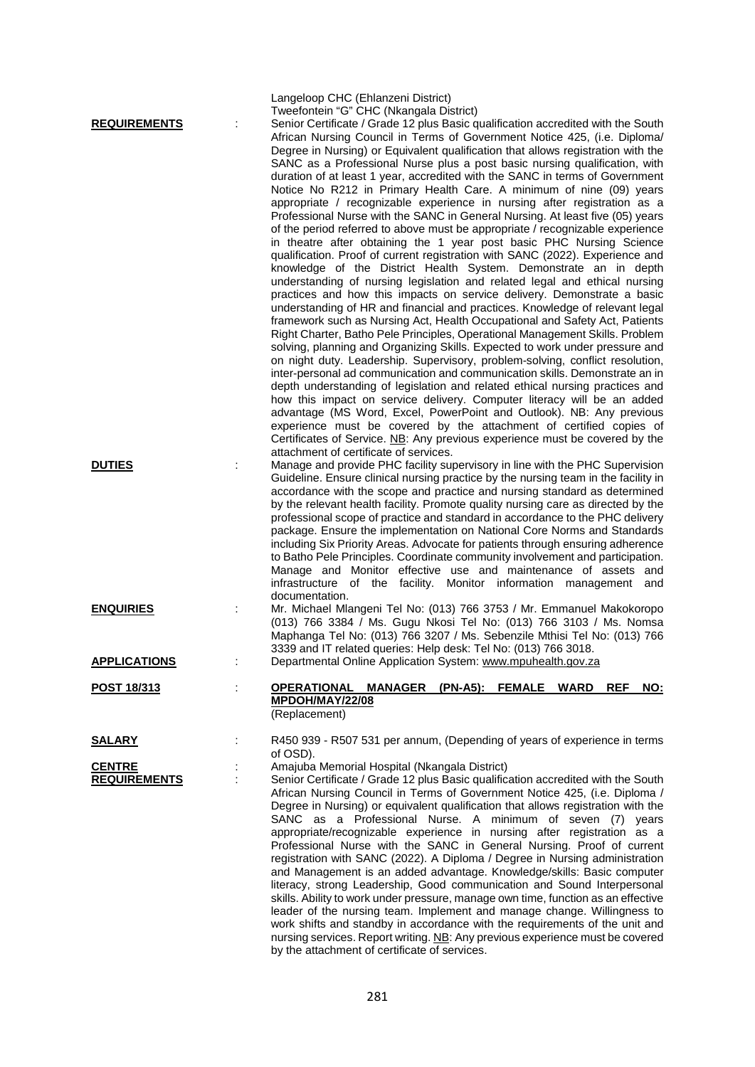| <b>REQUIREMENTS</b>                  | Langeloop CHC (Ehlanzeni District)<br>Tweefontein "G" CHC (Nkangala District)<br>Senior Certificate / Grade 12 plus Basic qualification accredited with the South<br>African Nursing Council in Terms of Government Notice 425, (i.e. Diploma/<br>Degree in Nursing) or Equivalent qualification that allows registration with the<br>SANC as a Professional Nurse plus a post basic nursing qualification, with<br>duration of at least 1 year, accredited with the SANC in terms of Government<br>Notice No R212 in Primary Health Care. A minimum of nine (09) years<br>appropriate / recognizable experience in nursing after registration as a<br>Professional Nurse with the SANC in General Nursing. At least five (05) years<br>of the period referred to above must be appropriate / recognizable experience<br>in theatre after obtaining the 1 year post basic PHC Nursing Science<br>qualification. Proof of current registration with SANC (2022). Experience and<br>knowledge of the District Health System. Demonstrate an in depth<br>understanding of nursing legislation and related legal and ethical nursing<br>practices and how this impacts on service delivery. Demonstrate a basic<br>understanding of HR and financial and practices. Knowledge of relevant legal<br>framework such as Nursing Act, Health Occupational and Safety Act, Patients<br>Right Charter, Batho Pele Principles, Operational Management Skills. Problem<br>solving, planning and Organizing Skills. Expected to work under pressure and<br>on night duty. Leadership. Supervisory, problem-solving, conflict resolution,<br>inter-personal ad communication and communication skills. Demonstrate an in<br>depth understanding of legislation and related ethical nursing practices and<br>how this impact on service delivery. Computer literacy will be an added<br>advantage (MS Word, Excel, PowerPoint and Outlook). NB: Any previous<br>experience must be covered by the attachment of certified copies of<br>Certificates of Service. NB: Any previous experience must be covered by the<br>attachment of certificate of services. |
|--------------------------------------|-----------------------------------------------------------------------------------------------------------------------------------------------------------------------------------------------------------------------------------------------------------------------------------------------------------------------------------------------------------------------------------------------------------------------------------------------------------------------------------------------------------------------------------------------------------------------------------------------------------------------------------------------------------------------------------------------------------------------------------------------------------------------------------------------------------------------------------------------------------------------------------------------------------------------------------------------------------------------------------------------------------------------------------------------------------------------------------------------------------------------------------------------------------------------------------------------------------------------------------------------------------------------------------------------------------------------------------------------------------------------------------------------------------------------------------------------------------------------------------------------------------------------------------------------------------------------------------------------------------------------------------------------------------------------------------------------------------------------------------------------------------------------------------------------------------------------------------------------------------------------------------------------------------------------------------------------------------------------------------------------------------------------------------------------------------------------------------------------------------------------------------------------|
| <b>DUTIES</b>                        | Manage and provide PHC facility supervisory in line with the PHC Supervision<br>Guideline. Ensure clinical nursing practice by the nursing team in the facility in<br>accordance with the scope and practice and nursing standard as determined<br>by the relevant health facility. Promote quality nursing care as directed by the<br>professional scope of practice and standard in accordance to the PHC delivery<br>package. Ensure the implementation on National Core Norms and Standards<br>including Six Priority Areas. Advocate for patients through ensuring adherence<br>to Batho Pele Principles. Coordinate community involvement and participation.<br>Manage and Monitor effective use and maintenance of assets and<br>infrastructure of the facility. Monitor information management<br>and<br>documentation.                                                                                                                                                                                                                                                                                                                                                                                                                                                                                                                                                                                                                                                                                                                                                                                                                                                                                                                                                                                                                                                                                                                                                                                                                                                                                                               |
| <b>ENQUIRIES</b>                     | Mr. Michael Mlangeni Tel No: (013) 766 3753 / Mr. Emmanuel Makokoropo<br>(013) 766 3384 / Ms. Gugu Nkosi Tel No: (013) 766 3103 / Ms. Nomsa<br>Maphanga Tel No: (013) 766 3207 / Ms. Sebenzile Mthisi Tel No: (013) 766<br>3339 and IT related queries: Help desk: Tel No: (013) 766 3018.                                                                                                                                                                                                                                                                                                                                                                                                                                                                                                                                                                                                                                                                                                                                                                                                                                                                                                                                                                                                                                                                                                                                                                                                                                                                                                                                                                                                                                                                                                                                                                                                                                                                                                                                                                                                                                                    |
| <b>APPLICATIONS</b>                  | Departmental Online Application System: www.mpuhealth.gov.za                                                                                                                                                                                                                                                                                                                                                                                                                                                                                                                                                                                                                                                                                                                                                                                                                                                                                                                                                                                                                                                                                                                                                                                                                                                                                                                                                                                                                                                                                                                                                                                                                                                                                                                                                                                                                                                                                                                                                                                                                                                                                  |
| POST 18/313                          | (PN-A5):<br><b>FEMALE</b><br><b>WARD</b><br><b>OPERATIONAL</b><br><b>MANAGER</b><br><b>REF</b><br>NO:<br>MPDOH/MAY/22/08<br>(Replacement)                                                                                                                                                                                                                                                                                                                                                                                                                                                                                                                                                                                                                                                                                                                                                                                                                                                                                                                                                                                                                                                                                                                                                                                                                                                                                                                                                                                                                                                                                                                                                                                                                                                                                                                                                                                                                                                                                                                                                                                                     |
| <b>SALARY</b>                        | R450 939 - R507 531 per annum, (Depending of years of experience in terms                                                                                                                                                                                                                                                                                                                                                                                                                                                                                                                                                                                                                                                                                                                                                                                                                                                                                                                                                                                                                                                                                                                                                                                                                                                                                                                                                                                                                                                                                                                                                                                                                                                                                                                                                                                                                                                                                                                                                                                                                                                                     |
| <b>CENTRE</b><br><b>REQUIREMENTS</b> | of OSD).<br>Amajuba Memorial Hospital (Nkangala District)<br>Senior Certificate / Grade 12 plus Basic qualification accredited with the South<br>African Nursing Council in Terms of Government Notice 425, (i.e. Diploma /<br>Degree in Nursing) or equivalent qualification that allows registration with the<br>SANC as a Professional Nurse. A minimum of seven (7) years<br>appropriate/recognizable experience in nursing after registration as a<br>Professional Nurse with the SANC in General Nursing. Proof of current<br>registration with SANC (2022). A Diploma / Degree in Nursing administration<br>and Management is an added advantage. Knowledge/skills: Basic computer<br>literacy, strong Leadership, Good communication and Sound Interpersonal<br>skills. Ability to work under pressure, manage own time, function as an effective<br>leader of the nursing team. Implement and manage change. Willingness to<br>work shifts and standby in accordance with the requirements of the unit and<br>nursing services. Report writing. NB: Any previous experience must be covered                                                                                                                                                                                                                                                                                                                                                                                                                                                                                                                                                                                                                                                                                                                                                                                                                                                                                                                                                                                                                                          |

by the attachment of certificate of services.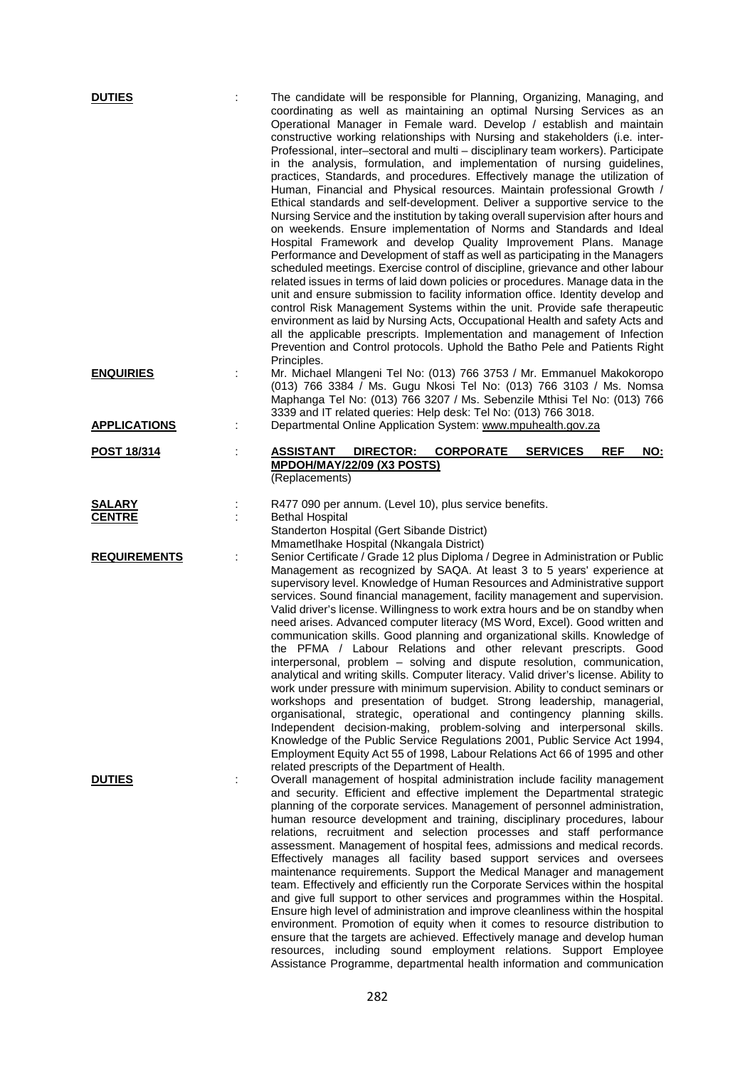| <b>DUTIES</b>                  | The candidate will be responsible for Planning, Organizing, Managing, and<br>coordinating as well as maintaining an optimal Nursing Services as an<br>Operational Manager in Female ward. Develop / establish and maintain<br>constructive working relationships with Nursing and stakeholders (i.e. inter-<br>Professional, inter-sectoral and multi - disciplinary team workers). Participate<br>in the analysis, formulation, and implementation of nursing guidelines,<br>practices, Standards, and procedures. Effectively manage the utilization of<br>Human, Financial and Physical resources. Maintain professional Growth /<br>Ethical standards and self-development. Deliver a supportive service to the<br>Nursing Service and the institution by taking overall supervision after hours and<br>on weekends. Ensure implementation of Norms and Standards and Ideal<br>Hospital Framework and develop Quality Improvement Plans. Manage<br>Performance and Development of staff as well as participating in the Managers<br>scheduled meetings. Exercise control of discipline, grievance and other labour<br>related issues in terms of laid down policies or procedures. Manage data in the<br>unit and ensure submission to facility information office. Identity develop and<br>control Risk Management Systems within the unit. Provide safe therapeutic<br>environment as laid by Nursing Acts, Occupational Health and safety Acts and<br>all the applicable prescripts. Implementation and management of Infection<br>Prevention and Control protocols. Uphold the Batho Pele and Patients Right<br>Principles. |
|--------------------------------|-------------------------------------------------------------------------------------------------------------------------------------------------------------------------------------------------------------------------------------------------------------------------------------------------------------------------------------------------------------------------------------------------------------------------------------------------------------------------------------------------------------------------------------------------------------------------------------------------------------------------------------------------------------------------------------------------------------------------------------------------------------------------------------------------------------------------------------------------------------------------------------------------------------------------------------------------------------------------------------------------------------------------------------------------------------------------------------------------------------------------------------------------------------------------------------------------------------------------------------------------------------------------------------------------------------------------------------------------------------------------------------------------------------------------------------------------------------------------------------------------------------------------------------------------------------------------------------------------------------------------------------|
| <b>ENQUIRIES</b>               | Mr. Michael Mlangeni Tel No: (013) 766 3753 / Mr. Emmanuel Makokoropo<br>(013) 766 3384 / Ms. Gugu Nkosi Tel No: (013) 766 3103 / Ms. Nomsa<br>Maphanga Tel No: (013) 766 3207 / Ms. Sebenzile Mthisi Tel No: (013) 766<br>3339 and IT related queries: Help desk: Tel No: (013) 766 3018.                                                                                                                                                                                                                                                                                                                                                                                                                                                                                                                                                                                                                                                                                                                                                                                                                                                                                                                                                                                                                                                                                                                                                                                                                                                                                                                                          |
| <b>APPLICATIONS</b>            | Departmental Online Application System: www.mpuhealth.gov.za                                                                                                                                                                                                                                                                                                                                                                                                                                                                                                                                                                                                                                                                                                                                                                                                                                                                                                                                                                                                                                                                                                                                                                                                                                                                                                                                                                                                                                                                                                                                                                        |
| <u>POST 18/314</u>             | ASSISTANT<br><b>DIRECTOR:</b><br><b>CORPORATE</b><br><b>SERVICES</b><br><b>REF</b><br>NO:<br>MPDOH/MAY/22/09 (X3 POSTS)<br>(Replacements)                                                                                                                                                                                                                                                                                                                                                                                                                                                                                                                                                                                                                                                                                                                                                                                                                                                                                                                                                                                                                                                                                                                                                                                                                                                                                                                                                                                                                                                                                           |
| <b>SALARY</b><br><b>CENTRE</b> | R477 090 per annum. (Level 10), plus service benefits.<br><b>Bethal Hospital</b><br>Standerton Hospital (Gert Sibande District)<br>Mmametlhake Hospital (Nkangala District)                                                                                                                                                                                                                                                                                                                                                                                                                                                                                                                                                                                                                                                                                                                                                                                                                                                                                                                                                                                                                                                                                                                                                                                                                                                                                                                                                                                                                                                         |
| <b>REQUIREMENTS</b>            | Senior Certificate / Grade 12 plus Diploma / Degree in Administration or Public<br>Management as recognized by SAQA. At least 3 to 5 years' experience at<br>supervisory level. Knowledge of Human Resources and Administrative support<br>services. Sound financial management, facility management and supervision.<br>Valid driver's license. Willingness to work extra hours and be on standby when<br>need arises. Advanced computer literacy (MS Word, Excel). Good written and<br>communication skills. Good planning and organizational skills. Knowledge of<br>the PFMA / Labour Relations and other relevant prescripts. Good<br>interpersonal, problem - solving and dispute resolution, communication,<br>analytical and writing skills. Computer literacy. Valid driver's license. Ability to<br>work under pressure with minimum supervision. Ability to conduct seminars or<br>workshops and presentation of budget. Strong leadership, managerial,<br>organisational, strategic, operational and contingency planning skills.<br>Independent decision-making, problem-solving and interpersonal skills.<br>Knowledge of the Public Service Regulations 2001, Public Service Act 1994,<br>Employment Equity Act 55 of 1998, Labour Relations Act 66 of 1995 and other<br>related prescripts of the Department of Health.                                                                                                                                                                                                                                                                                             |
| <b>DUTIES</b>                  | Overall management of hospital administration include facility management<br>and security. Efficient and effective implement the Departmental strategic<br>planning of the corporate services. Management of personnel administration,<br>human resource development and training, disciplinary procedures, labour<br>relations, recruitment and selection processes and staff performance<br>assessment. Management of hospital fees, admissions and medical records.<br>Effectively manages all facility based support services and oversees<br>maintenance requirements. Support the Medical Manager and management<br>team. Effectively and efficiently run the Corporate Services within the hospital<br>and give full support to other services and programmes within the Hospital.<br>Ensure high level of administration and improve cleanliness within the hospital<br>environment. Promotion of equity when it comes to resource distribution to<br>ensure that the targets are achieved. Effectively manage and develop human<br>resources, including sound employment relations. Support Employee<br>Assistance Programme, departmental health information and communication                                                                                                                                                                                                                                                                                                                                                                                                                                            |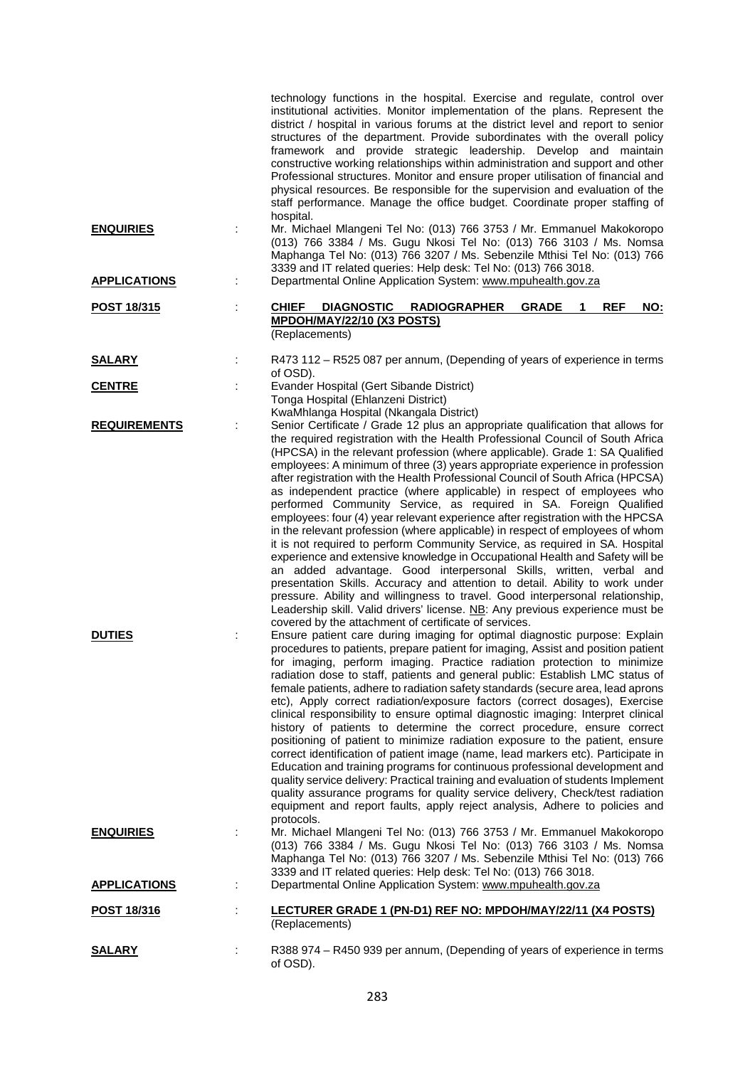|                                      |   | technology functions in the hospital. Exercise and regulate, control over<br>institutional activities. Monitor implementation of the plans. Represent the<br>district / hospital in various forums at the district level and report to senior<br>structures of the department. Provide subordinates with the overall policy<br>framework and provide strategic leadership. Develop and maintain<br>constructive working relationships within administration and support and other<br>Professional structures. Monitor and ensure proper utilisation of financial and<br>physical resources. Be responsible for the supervision and evaluation of the<br>staff performance. Manage the office budget. Coordinate proper staffing of<br>hospital.                                                                                                                                                                                                                                                                                                                                                                                                                                                                                                                                                                                                                                                                                                                                                                                                                                                                                                                                                                                                                                                                                                                          |
|--------------------------------------|---|--------------------------------------------------------------------------------------------------------------------------------------------------------------------------------------------------------------------------------------------------------------------------------------------------------------------------------------------------------------------------------------------------------------------------------------------------------------------------------------------------------------------------------------------------------------------------------------------------------------------------------------------------------------------------------------------------------------------------------------------------------------------------------------------------------------------------------------------------------------------------------------------------------------------------------------------------------------------------------------------------------------------------------------------------------------------------------------------------------------------------------------------------------------------------------------------------------------------------------------------------------------------------------------------------------------------------------------------------------------------------------------------------------------------------------------------------------------------------------------------------------------------------------------------------------------------------------------------------------------------------------------------------------------------------------------------------------------------------------------------------------------------------------------------------------------------------------------------------------------------------|
| <b>ENQUIRIES</b>                     |   | Mr. Michael Mlangeni Tel No: (013) 766 3753 / Mr. Emmanuel Makokoropo<br>(013) 766 3384 / Ms. Gugu Nkosi Tel No: (013) 766 3103 / Ms. Nomsa<br>Maphanga Tel No: (013) 766 3207 / Ms. Sebenzile Mthisi Tel No: (013) 766<br>3339 and IT related queries: Help desk: Tel No: (013) 766 3018.                                                                                                                                                                                                                                                                                                                                                                                                                                                                                                                                                                                                                                                                                                                                                                                                                                                                                                                                                                                                                                                                                                                                                                                                                                                                                                                                                                                                                                                                                                                                                                               |
| <b>APPLICATIONS</b>                  |   | Departmental Online Application System: www.mpuhealth.gov.za                                                                                                                                                                                                                                                                                                                                                                                                                                                                                                                                                                                                                                                                                                                                                                                                                                                                                                                                                                                                                                                                                                                                                                                                                                                                                                                                                                                                                                                                                                                                                                                                                                                                                                                                                                                                             |
| POST 18/315                          |   | <b>REF</b><br><b>CHIEF</b><br>DIAGNOSTIC RADIOGRAPHER<br><b>GRADE</b><br>$\mathbf 1$<br>NO:<br>MPDOH/MAY/22/10 (X3 POSTS)<br>(Replacements)                                                                                                                                                                                                                                                                                                                                                                                                                                                                                                                                                                                                                                                                                                                                                                                                                                                                                                                                                                                                                                                                                                                                                                                                                                                                                                                                                                                                                                                                                                                                                                                                                                                                                                                              |
| <b>SALARY</b>                        |   | R473 112 - R525 087 per annum, (Depending of years of experience in terms<br>of OSD).                                                                                                                                                                                                                                                                                                                                                                                                                                                                                                                                                                                                                                                                                                                                                                                                                                                                                                                                                                                                                                                                                                                                                                                                                                                                                                                                                                                                                                                                                                                                                                                                                                                                                                                                                                                    |
| <b>CENTRE</b>                        |   | Evander Hospital (Gert Sibande District)                                                                                                                                                                                                                                                                                                                                                                                                                                                                                                                                                                                                                                                                                                                                                                                                                                                                                                                                                                                                                                                                                                                                                                                                                                                                                                                                                                                                                                                                                                                                                                                                                                                                                                                                                                                                                                 |
| <b>REQUIREMENTS</b><br><b>DUTIES</b> |   | Tonga Hospital (Ehlanzeni District)<br>KwaMhlanga Hospital (Nkangala District)<br>Senior Certificate / Grade 12 plus an appropriate qualification that allows for<br>the required registration with the Health Professional Council of South Africa<br>(HPCSA) in the relevant profession (where applicable). Grade 1: SA Qualified<br>employees: A minimum of three (3) years appropriate experience in profession<br>after registration with the Health Professional Council of South Africa (HPCSA)<br>as independent practice (where applicable) in respect of employees who<br>performed Community Service, as required in SA. Foreign Qualified<br>employees: four (4) year relevant experience after registration with the HPCSA<br>in the relevant profession (where applicable) in respect of employees of whom<br>it is not required to perform Community Service, as required in SA. Hospital<br>experience and extensive knowledge in Occupational Health and Safety will be<br>an added advantage. Good interpersonal Skills, written, verbal and<br>presentation Skills. Accuracy and attention to detail. Ability to work under<br>pressure. Ability and willingness to travel. Good interpersonal relationship,<br>Leadership skill. Valid drivers' license. NB: Any previous experience must be<br>covered by the attachment of certificate of services.<br>Ensure patient care during imaging for optimal diagnostic purpose: Explain<br>procedures to patients, prepare patient for imaging, Assist and position patient<br>for imaging, perform imaging. Practice radiation protection to minimize<br>radiation dose to staff, patients and general public: Establish LMC status of<br>female patients, adhere to radiation safety standards (secure area, lead aprons<br>etc), Apply correct radiation/exposure factors (correct dosages), Exercise |
| <b>ENQUIRIES</b>                     |   | clinical responsibility to ensure optimal diagnostic imaging: Interpret clinical<br>history of patients to determine the correct procedure, ensure correct<br>positioning of patient to minimize radiation exposure to the patient, ensure<br>correct identification of patient image (name, lead markers etc). Participate in<br>Education and training programs for continuous professional development and<br>quality service delivery: Practical training and evaluation of students Implement<br>quality assurance programs for quality service delivery, Check/test radiation<br>equipment and report faults, apply reject analysis, Adhere to policies and<br>protocols.<br>Mr. Michael Mlangeni Tel No: (013) 766 3753 / Mr. Emmanuel Makokoropo<br>(013) 766 3384 / Ms. Gugu Nkosi Tel No: (013) 766 3103 / Ms. Nomsa                                                                                                                                                                                                                                                                                                                                                                                                                                                                                                                                                                                                                                                                                                                                                                                                                                                                                                                                                                                                                                           |
| <b>APPLICATIONS</b>                  | t | Maphanga Tel No: (013) 766 3207 / Ms. Sebenzile Mthisi Tel No: (013) 766<br>3339 and IT related queries: Help desk: Tel No: (013) 766 3018.<br>Departmental Online Application System: www.mpuhealth.gov.za                                                                                                                                                                                                                                                                                                                                                                                                                                                                                                                                                                                                                                                                                                                                                                                                                                                                                                                                                                                                                                                                                                                                                                                                                                                                                                                                                                                                                                                                                                                                                                                                                                                              |
| <u>POST 18/316</u>                   | ÷ | LECTURER GRADE 1 (PN-D1) REF NO: MPDOH/MAY/22/11 (X4 POSTS)                                                                                                                                                                                                                                                                                                                                                                                                                                                                                                                                                                                                                                                                                                                                                                                                                                                                                                                                                                                                                                                                                                                                                                                                                                                                                                                                                                                                                                                                                                                                                                                                                                                                                                                                                                                                              |
|                                      |   | (Replacements)                                                                                                                                                                                                                                                                                                                                                                                                                                                                                                                                                                                                                                                                                                                                                                                                                                                                                                                                                                                                                                                                                                                                                                                                                                                                                                                                                                                                                                                                                                                                                                                                                                                                                                                                                                                                                                                           |
| <b>SALARY</b>                        |   | R388 974 - R450 939 per annum, (Depending of years of experience in terms<br>of OSD).                                                                                                                                                                                                                                                                                                                                                                                                                                                                                                                                                                                                                                                                                                                                                                                                                                                                                                                                                                                                                                                                                                                                                                                                                                                                                                                                                                                                                                                                                                                                                                                                                                                                                                                                                                                    |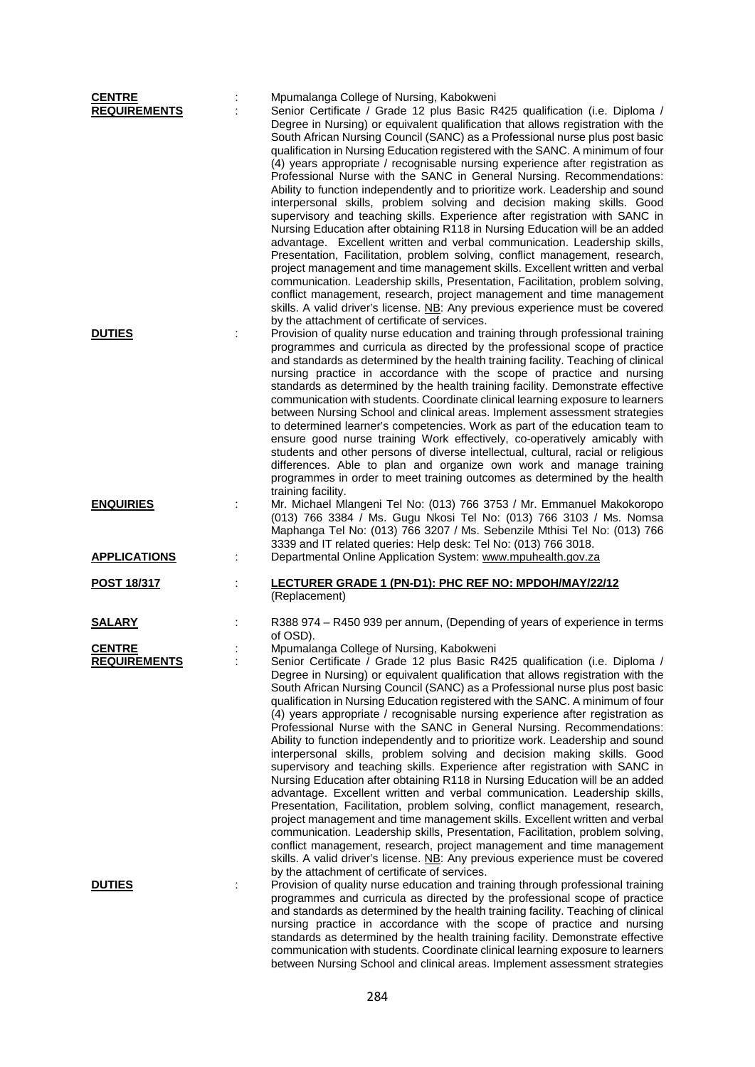| <b>CENTRE</b><br><b>REQUIREMENTS</b> | Mpumalanga College of Nursing, Kabokweni<br>Senior Certificate / Grade 12 plus Basic R425 qualification (i.e. Diploma /<br>Degree in Nursing) or equivalent qualification that allows registration with the<br>South African Nursing Council (SANC) as a Professional nurse plus post basic<br>qualification in Nursing Education registered with the SANC. A minimum of four<br>(4) years appropriate / recognisable nursing experience after registration as                                                                                                                                                                                                                                                                                                                                                                                                                                                                                                                                                                                                                                                                                                                                                                                                                                                                                                                                             |
|--------------------------------------|------------------------------------------------------------------------------------------------------------------------------------------------------------------------------------------------------------------------------------------------------------------------------------------------------------------------------------------------------------------------------------------------------------------------------------------------------------------------------------------------------------------------------------------------------------------------------------------------------------------------------------------------------------------------------------------------------------------------------------------------------------------------------------------------------------------------------------------------------------------------------------------------------------------------------------------------------------------------------------------------------------------------------------------------------------------------------------------------------------------------------------------------------------------------------------------------------------------------------------------------------------------------------------------------------------------------------------------------------------------------------------------------------------|
|                                      | Professional Nurse with the SANC in General Nursing. Recommendations:<br>Ability to function independently and to prioritize work. Leadership and sound<br>interpersonal skills, problem solving and decision making skills. Good<br>supervisory and teaching skills. Experience after registration with SANC in<br>Nursing Education after obtaining R118 in Nursing Education will be an added<br>advantage. Excellent written and verbal communication. Leadership skills,<br>Presentation, Facilitation, problem solving, conflict management, research,<br>project management and time management skills. Excellent written and verbal<br>communication. Leadership skills, Presentation, Facilitation, problem solving,<br>conflict management, research, project management and time management<br>skills. A valid driver's license. NB: Any previous experience must be covered<br>by the attachment of certificate of services.                                                                                                                                                                                                                                                                                                                                                                                                                                                                   |
| <b>DUTIES</b>                        | Provision of quality nurse education and training through professional training<br>programmes and curricula as directed by the professional scope of practice<br>and standards as determined by the health training facility. Teaching of clinical<br>nursing practice in accordance with the scope of practice and nursing<br>standards as determined by the health training facility. Demonstrate effective<br>communication with students. Coordinate clinical learning exposure to learners<br>between Nursing School and clinical areas. Implement assessment strategies<br>to determined learner's competencies. Work as part of the education team to<br>ensure good nurse training Work effectively, co-operatively amicably with<br>students and other persons of diverse intellectual, cultural, racial or religious<br>differences. Able to plan and organize own work and manage training<br>programmes in order to meet training outcomes as determined by the health<br>training facility.                                                                                                                                                                                                                                                                                                                                                                                                   |
| <b>ENQUIRIES</b>                     | Mr. Michael Mlangeni Tel No: (013) 766 3753 / Mr. Emmanuel Makokoropo<br>(013) 766 3384 / Ms. Gugu Nkosi Tel No: (013) 766 3103 / Ms. Nomsa<br>Maphanga Tel No: (013) 766 3207 / Ms. Sebenzile Mthisi Tel No: (013) 766<br>3339 and IT related queries: Help desk: Tel No: (013) 766 3018.                                                                                                                                                                                                                                                                                                                                                                                                                                                                                                                                                                                                                                                                                                                                                                                                                                                                                                                                                                                                                                                                                                                 |
| <b>APPLICATIONS</b>                  | Departmental Online Application System: www.mpuhealth.gov.za                                                                                                                                                                                                                                                                                                                                                                                                                                                                                                                                                                                                                                                                                                                                                                                                                                                                                                                                                                                                                                                                                                                                                                                                                                                                                                                                               |
| <u>POST 18/317</u>                   | LECTURER GRADE 1 (PN-D1): PHC REF NO: MPDOH/MAY/22/12<br>(Replacement)                                                                                                                                                                                                                                                                                                                                                                                                                                                                                                                                                                                                                                                                                                                                                                                                                                                                                                                                                                                                                                                                                                                                                                                                                                                                                                                                     |
| <b>SALARY</b>                        | R388 974 - R450 939 per annum, (Depending of years of experience in terms<br>of OSD).                                                                                                                                                                                                                                                                                                                                                                                                                                                                                                                                                                                                                                                                                                                                                                                                                                                                                                                                                                                                                                                                                                                                                                                                                                                                                                                      |
| <b>CENTRE</b><br><b>REQUIREMENTS</b> | Mpumalanga College of Nursing, Kabokweni<br>Senior Certificate / Grade 12 plus Basic R425 qualification (i.e. Diploma /<br>Degree in Nursing) or equivalent qualification that allows registration with the<br>South African Nursing Council (SANC) as a Professional nurse plus post basic<br>qualification in Nursing Education registered with the SANC. A minimum of four<br>(4) years appropriate / recognisable nursing experience after registration as<br>Professional Nurse with the SANC in General Nursing. Recommendations:<br>Ability to function independently and to prioritize work. Leadership and sound<br>interpersonal skills, problem solving and decision making skills. Good<br>supervisory and teaching skills. Experience after registration with SANC in<br>Nursing Education after obtaining R118 in Nursing Education will be an added<br>advantage. Excellent written and verbal communication. Leadership skills,<br>Presentation, Facilitation, problem solving, conflict management, research,<br>project management and time management skills. Excellent written and verbal<br>communication. Leadership skills, Presentation, Facilitation, problem solving,<br>conflict management, research, project management and time management<br>skills. A valid driver's license. NB: Any previous experience must be covered<br>by the attachment of certificate of services. |
| <b>DUTIES</b>                        | Provision of quality nurse education and training through professional training<br>programmes and curricula as directed by the professional scope of practice<br>and standards as determined by the health training facility. Teaching of clinical<br>nursing practice in accordance with the scope of practice and nursing<br>standards as determined by the health training facility. Demonstrate effective<br>communication with students. Coordinate clinical learning exposure to learners                                                                                                                                                                                                                                                                                                                                                                                                                                                                                                                                                                                                                                                                                                                                                                                                                                                                                                            |

between Nursing School and clinical areas. Implement assessment strategies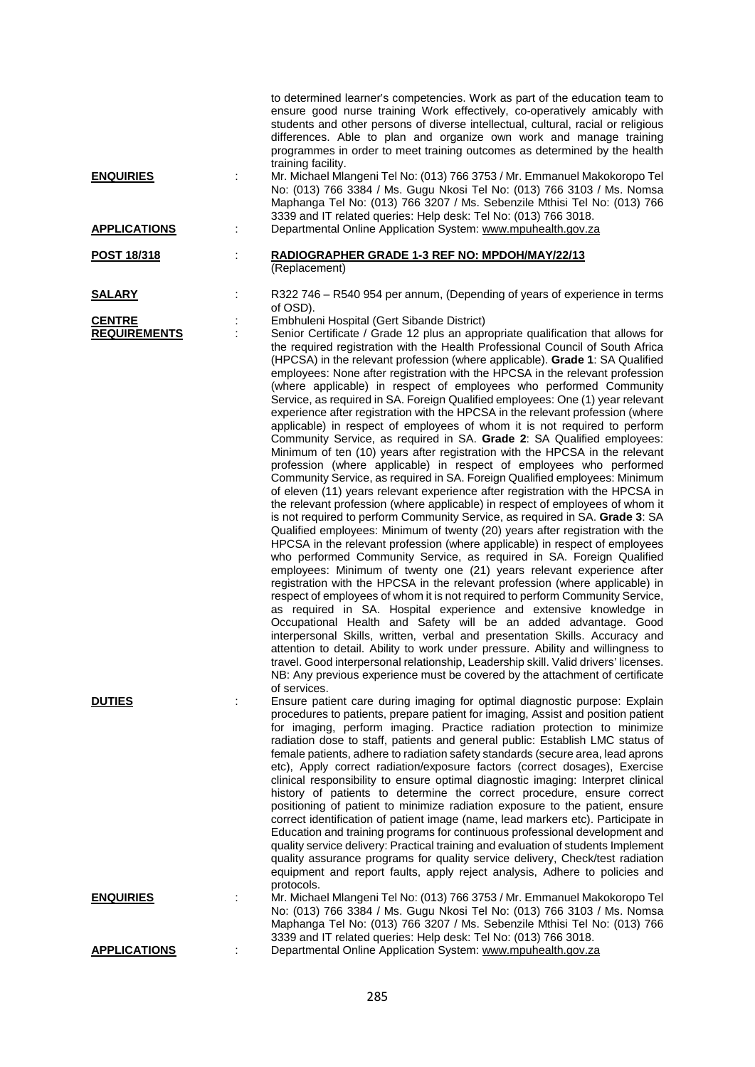|                                      |    | to determined learner's competencies. Work as part of the education team to<br>ensure good nurse training Work effectively, co-operatively amicably with<br>students and other persons of diverse intellectual, cultural, racial or religious<br>differences. Able to plan and organize own work and manage training<br>programmes in order to meet training outcomes as determined by the health<br>training facility.                                                                                                                                                                                                                                                                                                                                                                                                                                                                                                                                                                                                                                                                                                                                                                                                                                                                                                                                                                                                                                                                                                                                                                                                                                                                                                                                                                                                                                                                                                                                                                                                                                                                                                                                                                                                                    |
|--------------------------------------|----|--------------------------------------------------------------------------------------------------------------------------------------------------------------------------------------------------------------------------------------------------------------------------------------------------------------------------------------------------------------------------------------------------------------------------------------------------------------------------------------------------------------------------------------------------------------------------------------------------------------------------------------------------------------------------------------------------------------------------------------------------------------------------------------------------------------------------------------------------------------------------------------------------------------------------------------------------------------------------------------------------------------------------------------------------------------------------------------------------------------------------------------------------------------------------------------------------------------------------------------------------------------------------------------------------------------------------------------------------------------------------------------------------------------------------------------------------------------------------------------------------------------------------------------------------------------------------------------------------------------------------------------------------------------------------------------------------------------------------------------------------------------------------------------------------------------------------------------------------------------------------------------------------------------------------------------------------------------------------------------------------------------------------------------------------------------------------------------------------------------------------------------------------------------------------------------------------------------------------------------------|
| <b>ENQUIRIES</b>                     |    | Mr. Michael Mlangeni Tel No: (013) 766 3753 / Mr. Emmanuel Makokoropo Tel<br>No: (013) 766 3384 / Ms. Gugu Nkosi Tel No: (013) 766 3103 / Ms. Nomsa<br>Maphanga Tel No: (013) 766 3207 / Ms. Sebenzile Mthisi Tel No: (013) 766<br>3339 and IT related queries: Help desk: Tel No: (013) 766 3018.                                                                                                                                                                                                                                                                                                                                                                                                                                                                                                                                                                                                                                                                                                                                                                                                                                                                                                                                                                                                                                                                                                                                                                                                                                                                                                                                                                                                                                                                                                                                                                                                                                                                                                                                                                                                                                                                                                                                         |
| <b>APPLICATIONS</b>                  | ÷  | Departmental Online Application System: www.mpuhealth.gov.za                                                                                                                                                                                                                                                                                                                                                                                                                                                                                                                                                                                                                                                                                                                                                                                                                                                                                                                                                                                                                                                                                                                                                                                                                                                                                                                                                                                                                                                                                                                                                                                                                                                                                                                                                                                                                                                                                                                                                                                                                                                                                                                                                                               |
| POST 18/318                          |    | RADIOGRAPHER GRADE 1-3 REF NO: MPDOH/MAY/22/13<br>(Replacement)                                                                                                                                                                                                                                                                                                                                                                                                                                                                                                                                                                                                                                                                                                                                                                                                                                                                                                                                                                                                                                                                                                                                                                                                                                                                                                                                                                                                                                                                                                                                                                                                                                                                                                                                                                                                                                                                                                                                                                                                                                                                                                                                                                            |
| <u>SALARY</u>                        |    | R322 746 – R540 954 per annum, (Depending of years of experience in terms<br>of OSD).                                                                                                                                                                                                                                                                                                                                                                                                                                                                                                                                                                                                                                                                                                                                                                                                                                                                                                                                                                                                                                                                                                                                                                                                                                                                                                                                                                                                                                                                                                                                                                                                                                                                                                                                                                                                                                                                                                                                                                                                                                                                                                                                                      |
| <b>CENTRE</b><br><b>REQUIREMENTS</b> |    | Embhuleni Hospital (Gert Sibande District)<br>Senior Certificate / Grade 12 plus an appropriate qualification that allows for<br>the required registration with the Health Professional Council of South Africa<br>(HPCSA) in the relevant profession (where applicable). Grade 1: SA Qualified<br>employees: None after registration with the HPCSA in the relevant profession<br>(where applicable) in respect of employees who performed Community<br>Service, as required in SA. Foreign Qualified employees: One (1) year relevant<br>experience after registration with the HPCSA in the relevant profession (where<br>applicable) in respect of employees of whom it is not required to perform<br>Community Service, as required in SA. Grade 2: SA Qualified employees:<br>Minimum of ten (10) years after registration with the HPCSA in the relevant<br>profession (where applicable) in respect of employees who performed<br>Community Service, as required in SA. Foreign Qualified employees: Minimum<br>of eleven (11) years relevant experience after registration with the HPCSA in<br>the relevant profession (where applicable) in respect of employees of whom it<br>is not required to perform Community Service, as required in SA. Grade 3: SA<br>Qualified employees: Minimum of twenty (20) years after registration with the<br>HPCSA in the relevant profession (where applicable) in respect of employees<br>who performed Community Service, as required in SA. Foreign Qualified<br>employees: Minimum of twenty one (21) years relevant experience after<br>registration with the HPCSA in the relevant profession (where applicable) in<br>respect of employees of whom it is not required to perform Community Service,<br>as required in SA. Hospital experience and extensive knowledge in<br>Occupational Health and Safety will be an added advantage. Good<br>interpersonal Skills, written, verbal and presentation Skills. Accuracy and<br>attention to detail. Ability to work under pressure. Ability and willingness to<br>travel. Good interpersonal relationship, Leadership skill. Valid drivers' licenses.<br>NB: Any previous experience must be covered by the attachment of certificate |
| <b>DUTIES</b>                        |    | of services.<br>Ensure patient care during imaging for optimal diagnostic purpose: Explain<br>procedures to patients, prepare patient for imaging, Assist and position patient<br>for imaging, perform imaging. Practice radiation protection to minimize<br>radiation dose to staff, patients and general public: Establish LMC status of<br>female patients, adhere to radiation safety standards (secure area, lead aprons<br>etc), Apply correct radiation/exposure factors (correct dosages), Exercise<br>clinical responsibility to ensure optimal diagnostic imaging: Interpret clinical<br>history of patients to determine the correct procedure, ensure correct<br>positioning of patient to minimize radiation exposure to the patient, ensure<br>correct identification of patient image (name, lead markers etc). Participate in<br>Education and training programs for continuous professional development and<br>quality service delivery: Practical training and evaluation of students Implement<br>quality assurance programs for quality service delivery, Check/test radiation<br>equipment and report faults, apply reject analysis, Adhere to policies and<br>protocols.                                                                                                                                                                                                                                                                                                                                                                                                                                                                                                                                                                                                                                                                                                                                                                                                                                                                                                                                                                                                                                             |
| <u>ENQUIRIES</u>                     | İ. | Mr. Michael Mlangeni Tel No: (013) 766 3753 / Mr. Emmanuel Makokoropo Tel<br>No: (013) 766 3384 / Ms. Gugu Nkosi Tel No: (013) 766 3103 / Ms. Nomsa<br>Maphanga Tel No: (013) 766 3207 / Ms. Sebenzile Mthisi Tel No: (013) 766                                                                                                                                                                                                                                                                                                                                                                                                                                                                                                                                                                                                                                                                                                                                                                                                                                                                                                                                                                                                                                                                                                                                                                                                                                                                                                                                                                                                                                                                                                                                                                                                                                                                                                                                                                                                                                                                                                                                                                                                            |
| <b>APPLICATIONS</b>                  | İ. | 3339 and IT related queries: Help desk: Tel No: (013) 766 3018.<br>Departmental Online Application System: www.mpuhealth.gov.za                                                                                                                                                                                                                                                                                                                                                                                                                                                                                                                                                                                                                                                                                                                                                                                                                                                                                                                                                                                                                                                                                                                                                                                                                                                                                                                                                                                                                                                                                                                                                                                                                                                                                                                                                                                                                                                                                                                                                                                                                                                                                                            |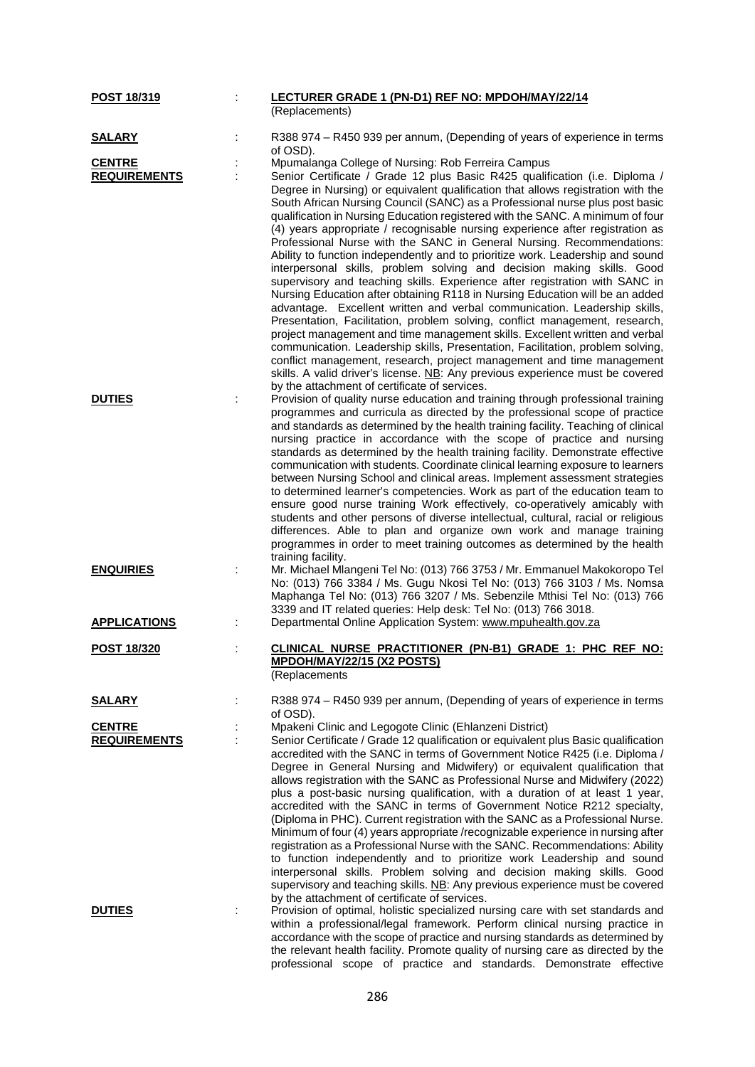| POST 18/319                          | LECTURER GRADE 1 (PN-D1) REF NO: MPDOH/MAY/22/14                                                                                                                                                                                                                                                                                                                                                                                                                                                                                                                                                                                                                                                                                                                                                                                                                                                                                                                                                                                                                                                                                                                                                                                                                                                              |
|--------------------------------------|---------------------------------------------------------------------------------------------------------------------------------------------------------------------------------------------------------------------------------------------------------------------------------------------------------------------------------------------------------------------------------------------------------------------------------------------------------------------------------------------------------------------------------------------------------------------------------------------------------------------------------------------------------------------------------------------------------------------------------------------------------------------------------------------------------------------------------------------------------------------------------------------------------------------------------------------------------------------------------------------------------------------------------------------------------------------------------------------------------------------------------------------------------------------------------------------------------------------------------------------------------------------------------------------------------------|
|                                      | (Replacements)                                                                                                                                                                                                                                                                                                                                                                                                                                                                                                                                                                                                                                                                                                                                                                                                                                                                                                                                                                                                                                                                                                                                                                                                                                                                                                |
| <b>SALARY</b>                        | R388 974 - R450 939 per annum, (Depending of years of experience in terms<br>of OSD).                                                                                                                                                                                                                                                                                                                                                                                                                                                                                                                                                                                                                                                                                                                                                                                                                                                                                                                                                                                                                                                                                                                                                                                                                         |
| <b>CENTRE</b>                        | Mpumalanga College of Nursing: Rob Ferreira Campus                                                                                                                                                                                                                                                                                                                                                                                                                                                                                                                                                                                                                                                                                                                                                                                                                                                                                                                                                                                                                                                                                                                                                                                                                                                            |
| <b>REQUIREMENTS</b>                  | Senior Certificate / Grade 12 plus Basic R425 qualification (i.e. Diploma /<br>Degree in Nursing) or equivalent qualification that allows registration with the<br>South African Nursing Council (SANC) as a Professional nurse plus post basic<br>qualification in Nursing Education registered with the SANC. A minimum of four<br>(4) years appropriate / recognisable nursing experience after registration as<br>Professional Nurse with the SANC in General Nursing. Recommendations:<br>Ability to function independently and to prioritize work. Leadership and sound<br>interpersonal skills, problem solving and decision making skills. Good<br>supervisory and teaching skills. Experience after registration with SANC in<br>Nursing Education after obtaining R118 in Nursing Education will be an added<br>advantage. Excellent written and verbal communication. Leadership skills,<br>Presentation, Facilitation, problem solving, conflict management, research,<br>project management and time management skills. Excellent written and verbal<br>communication. Leadership skills, Presentation, Facilitation, problem solving,<br>conflict management, research, project management and time management<br>skills. A valid driver's license. NB: Any previous experience must be covered |
| <b>DUTIES</b>                        | by the attachment of certificate of services.<br>Provision of quality nurse education and training through professional training<br>programmes and curricula as directed by the professional scope of practice<br>and standards as determined by the health training facility. Teaching of clinical<br>nursing practice in accordance with the scope of practice and nursing<br>standards as determined by the health training facility. Demonstrate effective<br>communication with students. Coordinate clinical learning exposure to learners<br>between Nursing School and clinical areas. Implement assessment strategies<br>to determined learner's competencies. Work as part of the education team to<br>ensure good nurse training Work effectively, co-operatively amicably with<br>students and other persons of diverse intellectual, cultural, racial or religious<br>differences. Able to plan and organize own work and manage training<br>programmes in order to meet training outcomes as determined by the health<br>training facility.                                                                                                                                                                                                                                                     |
| <b>ENQUIRIES</b>                     | Mr. Michael Mlangeni Tel No: (013) 766 3753 / Mr. Emmanuel Makokoropo Tel<br>No: (013) 766 3384 / Ms. Gugu Nkosi Tel No: (013) 766 3103 / Ms. Nomsa<br>Maphanga Tel No: (013) 766 3207 / Ms. Sebenzile Mthisi Tel No: (013) 766<br>3339 and IT related queries: Help desk: Tel No: (013) 766 3018.                                                                                                                                                                                                                                                                                                                                                                                                                                                                                                                                                                                                                                                                                                                                                                                                                                                                                                                                                                                                            |
| <b>APPLICATIONS</b>                  | Departmental Online Application System: www.mpuhealth.gov.za                                                                                                                                                                                                                                                                                                                                                                                                                                                                                                                                                                                                                                                                                                                                                                                                                                                                                                                                                                                                                                                                                                                                                                                                                                                  |
| <b>POST 18/320</b>                   | CLINICAL NURSE PRACTITIONER (PN-B1) GRADE 1: PHC REF NO:<br>MPDOH/MAY/22/15 (X2 POSTS)<br>(Replacements                                                                                                                                                                                                                                                                                                                                                                                                                                                                                                                                                                                                                                                                                                                                                                                                                                                                                                                                                                                                                                                                                                                                                                                                       |
| <b>SALARY</b>                        | R388 974 - R450 939 per annum, (Depending of years of experience in terms<br>of OSD).                                                                                                                                                                                                                                                                                                                                                                                                                                                                                                                                                                                                                                                                                                                                                                                                                                                                                                                                                                                                                                                                                                                                                                                                                         |
| <b>CENTRE</b><br><b>REQUIREMENTS</b> | Mpakeni Clinic and Legogote Clinic (Ehlanzeni District)<br>Senior Certificate / Grade 12 qualification or equivalent plus Basic qualification<br>accredited with the SANC in terms of Government Notice R425 (i.e. Diploma /<br>Degree in General Nursing and Midwifery) or equivalent qualification that<br>allows registration with the SANC as Professional Nurse and Midwifery (2022)<br>plus a post-basic nursing qualification, with a duration of at least 1 year,<br>accredited with the SANC in terms of Government Notice R212 specialty,<br>(Diploma in PHC). Current registration with the SANC as a Professional Nurse.<br>Minimum of four (4) years appropriate /recognizable experience in nursing after<br>registration as a Professional Nurse with the SANC. Recommendations: Ability<br>to function independently and to prioritize work Leadership and sound<br>interpersonal skills. Problem solving and decision making skills. Good<br>supervisory and teaching skills. NB: Any previous experience must be covered<br>by the attachment of certificate of services.                                                                                                                                                                                                                   |
| <b>DUTIES</b>                        | Provision of optimal, holistic specialized nursing care with set standards and<br>within a professional/legal framework. Perform clinical nursing practice in<br>accordance with the scope of practice and nursing standards as determined by<br>the relevant health facility. Promote quality of nursing care as directed by the<br>professional scope of practice and standards. Demonstrate effective                                                                                                                                                                                                                                                                                                                                                                                                                                                                                                                                                                                                                                                                                                                                                                                                                                                                                                      |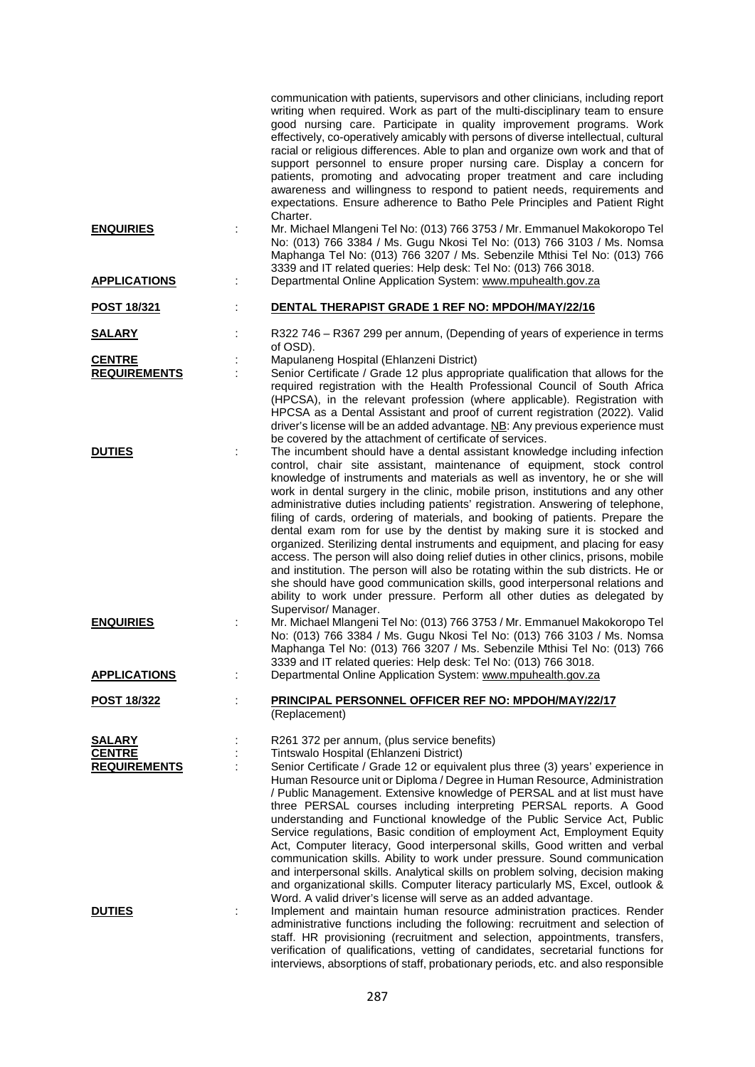|                                                       |   | communication with patients, supervisors and other clinicians, including report<br>writing when required. Work as part of the multi-disciplinary team to ensure<br>good nursing care. Participate in quality improvement programs. Work<br>effectively, co-operatively amicably with persons of diverse intellectual, cultural<br>racial or religious differences. Able to plan and organize own work and that of<br>support personnel to ensure proper nursing care. Display a concern for<br>patients, promoting and advocating proper treatment and care including<br>awareness and willingness to respond to patient needs, requirements and<br>expectations. Ensure adherence to Batho Pele Principles and Patient Right                                                                                                                                                                                                                                                                                       |
|-------------------------------------------------------|---|---------------------------------------------------------------------------------------------------------------------------------------------------------------------------------------------------------------------------------------------------------------------------------------------------------------------------------------------------------------------------------------------------------------------------------------------------------------------------------------------------------------------------------------------------------------------------------------------------------------------------------------------------------------------------------------------------------------------------------------------------------------------------------------------------------------------------------------------------------------------------------------------------------------------------------------------------------------------------------------------------------------------|
| <b>ENQUIRIES</b>                                      |   | Charter.<br>Mr. Michael Mlangeni Tel No: (013) 766 3753 / Mr. Emmanuel Makokoropo Tel<br>No: (013) 766 3384 / Ms. Gugu Nkosi Tel No: (013) 766 3103 / Ms. Nomsa<br>Maphanga Tel No: (013) 766 3207 / Ms. Sebenzile Mthisi Tel No: (013) 766<br>3339 and IT related queries: Help desk: Tel No: (013) 766 3018.                                                                                                                                                                                                                                                                                                                                                                                                                                                                                                                                                                                                                                                                                                      |
| <b>APPLICATIONS</b>                                   | ÷ | Departmental Online Application System: www.mpuhealth.gov.za                                                                                                                                                                                                                                                                                                                                                                                                                                                                                                                                                                                                                                                                                                                                                                                                                                                                                                                                                        |
| POST 18/321                                           |   | DENTAL THERAPIST GRADE 1 REF NO: MPDOH/MAY/22/16                                                                                                                                                                                                                                                                                                                                                                                                                                                                                                                                                                                                                                                                                                                                                                                                                                                                                                                                                                    |
| <u>SALARY</u>                                         |   | R322 746 - R367 299 per annum, (Depending of years of experience in terms<br>of OSD).                                                                                                                                                                                                                                                                                                                                                                                                                                                                                                                                                                                                                                                                                                                                                                                                                                                                                                                               |
| <b>CENTRE</b><br><b>REQUIREMENTS</b>                  | ÷ | Mapulaneng Hospital (Ehlanzeni District)<br>Senior Certificate / Grade 12 plus appropriate qualification that allows for the<br>required registration with the Health Professional Council of South Africa<br>(HPCSA), in the relevant profession (where applicable). Registration with<br>HPCSA as a Dental Assistant and proof of current registration (2022). Valid<br>driver's license will be an added advantage. $N$ B: Any previous experience must<br>be covered by the attachment of certificate of services.                                                                                                                                                                                                                                                                                                                                                                                                                                                                                              |
| <b>DUTIES</b>                                         | ÷ | The incumbent should have a dental assistant knowledge including infection<br>control, chair site assistant, maintenance of equipment, stock control<br>knowledge of instruments and materials as well as inventory, he or she will<br>work in dental surgery in the clinic, mobile prison, institutions and any other<br>administrative duties including patients' registration. Answering of telephone,<br>filing of cards, ordering of materials, and booking of patients. Prepare the<br>dental exam rom for use by the dentist by making sure it is stocked and<br>organized. Sterilizing dental instruments and equipment, and placing for easy<br>access. The person will also doing relief duties in other clinics, prisons, mobile<br>and institution. The person will also be rotating within the sub districts. He or<br>she should have good communication skills, good interpersonal relations and<br>ability to work under pressure. Perform all other duties as delegated by<br>Supervisor/ Manager. |
| <b>ENQUIRIES</b>                                      | ÷ | Mr. Michael Mlangeni Tel No: (013) 766 3753 / Mr. Emmanuel Makokoropo Tel<br>No: (013) 766 3384 / Ms. Gugu Nkosi Tel No: (013) 766 3103 / Ms. Nomsa<br>Maphanga Tel No: (013) 766 3207 / Ms. Sebenzile Mthisi Tel No: (013) 766<br>3339 and IT related queries: Help desk: Tel No: (013) 766 3018.                                                                                                                                                                                                                                                                                                                                                                                                                                                                                                                                                                                                                                                                                                                  |
| <b>APPLICATIONS</b>                                   |   | Departmental Online Application System: www.mpuhealth.gov.za                                                                                                                                                                                                                                                                                                                                                                                                                                                                                                                                                                                                                                                                                                                                                                                                                                                                                                                                                        |
| <u>POST 18/322</u>                                    |   | PRINCIPAL PERSONNEL OFFICER REF NO: MPDOH/MAY/22/17<br>(Replacement)                                                                                                                                                                                                                                                                                                                                                                                                                                                                                                                                                                                                                                                                                                                                                                                                                                                                                                                                                |
| <b>SALARY</b><br><b>CENTRE</b><br><b>REQUIREMENTS</b> |   | R261 372 per annum, (plus service benefits)<br>Tintswalo Hospital (Ehlanzeni District)<br>Senior Certificate / Grade 12 or equivalent plus three (3) years' experience in<br>Human Resource unit or Diploma / Degree in Human Resource, Administration<br>/ Public Management. Extensive knowledge of PERSAL and at list must have<br>three PERSAL courses including interpreting PERSAL reports. A Good<br>understanding and Functional knowledge of the Public Service Act, Public<br>Service regulations, Basic condition of employment Act, Employment Equity<br>Act, Computer literacy, Good interpersonal skills, Good written and verbal<br>communication skills. Ability to work under pressure. Sound communication<br>and interpersonal skills. Analytical skills on problem solving, decision making<br>and organizational skills. Computer literacy particularly MS, Excel, outlook &                                                                                                                   |
| <b>DUTIES</b>                                         | ÷ | Word. A valid driver's license will serve as an added advantage.<br>Implement and maintain human resource administration practices. Render<br>administrative functions including the following: recruitment and selection of<br>staff. HR provisioning (recruitment and selection, appointments, transfers,<br>verification of qualifications, vetting of candidates, secretarial functions for                                                                                                                                                                                                                                                                                                                                                                                                                                                                                                                                                                                                                     |

interviews, absorptions of staff, probationary periods, etc. and also responsible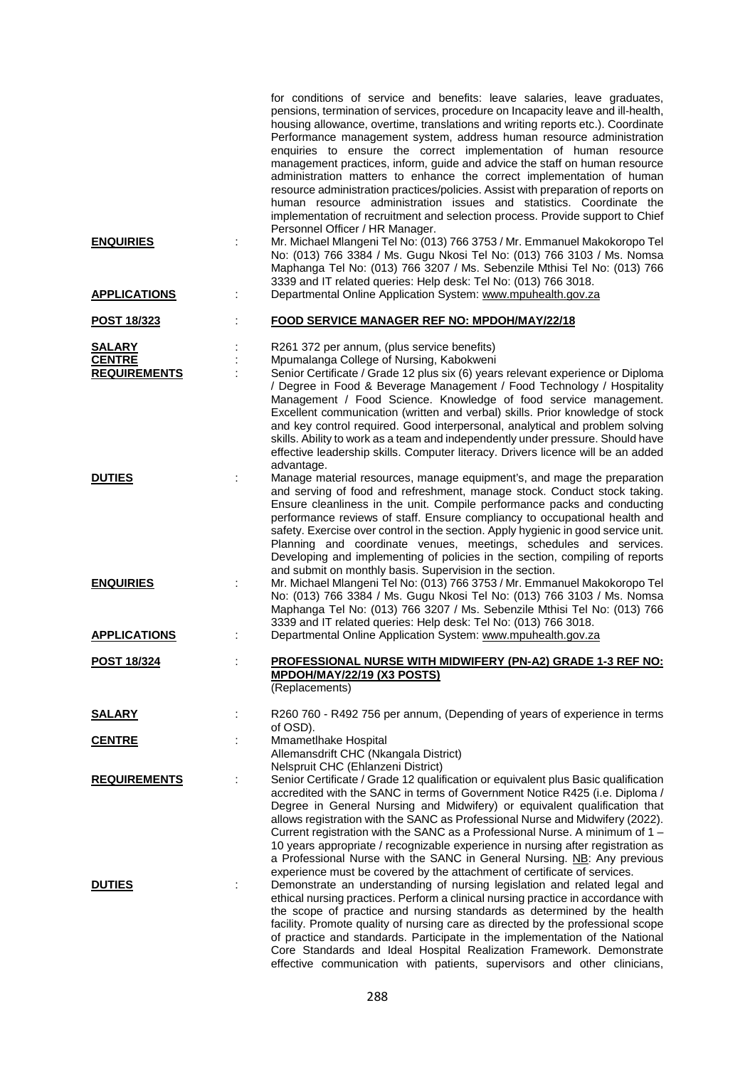|                                                       | for conditions of service and benefits: leave salaries, leave graduates,<br>pensions, termination of services, procedure on Incapacity leave and ill-health,<br>housing allowance, overtime, translations and writing reports etc.). Coordinate<br>Performance management system, address human resource administration<br>enquiries to ensure the correct implementation of human resource<br>management practices, inform, guide and advice the staff on human resource<br>administration matters to enhance the correct implementation of human<br>resource administration practices/policies. Assist with preparation of reports on<br>human resource administration issues and statistics. Coordinate the<br>implementation of recruitment and selection process. Provide support to Chief |
|-------------------------------------------------------|-------------------------------------------------------------------------------------------------------------------------------------------------------------------------------------------------------------------------------------------------------------------------------------------------------------------------------------------------------------------------------------------------------------------------------------------------------------------------------------------------------------------------------------------------------------------------------------------------------------------------------------------------------------------------------------------------------------------------------------------------------------------------------------------------|
| <b>ENQUIRIES</b>                                      | Personnel Officer / HR Manager.<br>Mr. Michael Mlangeni Tel No: (013) 766 3753 / Mr. Emmanuel Makokoropo Tel<br>No: (013) 766 3384 / Ms. Gugu Nkosi Tel No: (013) 766 3103 / Ms. Nomsa<br>Maphanga Tel No: (013) 766 3207 / Ms. Sebenzile Mthisi Tel No: (013) 766<br>3339 and IT related queries: Help desk: Tel No: (013) 766 3018.                                                                                                                                                                                                                                                                                                                                                                                                                                                           |
| <b>APPLICATIONS</b>                                   | Departmental Online Application System: www.mpuhealth.gov.za                                                                                                                                                                                                                                                                                                                                                                                                                                                                                                                                                                                                                                                                                                                                    |
| <b>POST 18/323</b>                                    | <b>FOOD SERVICE MANAGER REF NO: MPDOH/MAY/22/18</b>                                                                                                                                                                                                                                                                                                                                                                                                                                                                                                                                                                                                                                                                                                                                             |
| <b>SALARY</b><br><b>CENTRE</b><br><b>REQUIREMENTS</b> | R261 372 per annum, (plus service benefits)<br>Mpumalanga College of Nursing, Kabokweni<br>Senior Certificate / Grade 12 plus six (6) years relevant experience or Diploma<br>/ Degree in Food & Beverage Management / Food Technology / Hospitality<br>Management / Food Science. Knowledge of food service management.<br>Excellent communication (written and verbal) skills. Prior knowledge of stock<br>and key control required. Good interpersonal, analytical and problem solving<br>skills. Ability to work as a team and independently under pressure. Should have<br>effective leadership skills. Computer literacy. Drivers licence will be an added                                                                                                                                |
| <b>DUTIES</b>                                         | advantage.<br>Manage material resources, manage equipment's, and mage the preparation<br>and serving of food and refreshment, manage stock. Conduct stock taking.<br>Ensure cleanliness in the unit. Compile performance packs and conducting<br>performance reviews of staff. Ensure compliancy to occupational health and<br>safety. Exercise over control in the section. Apply hygienic in good service unit.<br>Planning and coordinate venues, meetings, schedules and services.<br>Developing and implementing of policies in the section, compiling of reports<br>and submit on monthly basis. Supervision in the section.                                                                                                                                                              |
| <b>ENQUIRIES</b>                                      | Mr. Michael Mlangeni Tel No: (013) 766 3753 / Mr. Emmanuel Makokoropo Tel<br>No: (013) 766 3384 / Ms. Gugu Nkosi Tel No: (013) 766 3103 / Ms. Nomsa<br>Maphanga Tel No: (013) 766 3207 / Ms. Sebenzile Mthisi Tel No: (013) 766<br>3339 and IT related queries: Help desk: Tel No: (013) 766 3018.                                                                                                                                                                                                                                                                                                                                                                                                                                                                                              |
| <b>APPLICATIONS</b>                                   | Departmental Online Application System: www.mpuhealth.gov.za                                                                                                                                                                                                                                                                                                                                                                                                                                                                                                                                                                                                                                                                                                                                    |
| <u>POST 18/324</u>                                    | PROFESSIONAL NURSE WITH MIDWIFERY (PN-A2) GRADE 1-3 REF NO:<br>MPDOH/MAY/22/19 (X3 POSTS)<br>(Replacements)                                                                                                                                                                                                                                                                                                                                                                                                                                                                                                                                                                                                                                                                                     |
| <u>SALARY</u>                                         | R260 760 - R492 756 per annum, (Depending of years of experience in terms<br>of OSD).                                                                                                                                                                                                                                                                                                                                                                                                                                                                                                                                                                                                                                                                                                           |
| <b>CENTRE</b>                                         | Mmametlhake Hospital<br>Allemansdrift CHC (Nkangala District)<br>Nelspruit CHC (Ehlanzeni District)                                                                                                                                                                                                                                                                                                                                                                                                                                                                                                                                                                                                                                                                                             |
| <b>REQUIREMENTS</b>                                   | Senior Certificate / Grade 12 qualification or equivalent plus Basic qualification<br>accredited with the SANC in terms of Government Notice R425 (i.e. Diploma /<br>Degree in General Nursing and Midwifery) or equivalent qualification that<br>allows registration with the SANC as Professional Nurse and Midwifery (2022).<br>Current registration with the SANC as a Professional Nurse. A minimum of $1 -$<br>10 years appropriate / recognizable experience in nursing after registration as<br>a Professional Nurse with the SANC in General Nursing. NB: Any previous<br>experience must be covered by the attachment of certificate of services.                                                                                                                                     |
| <b>DUTIES</b>                                         | Demonstrate an understanding of nursing legislation and related legal and<br>ethical nursing practices. Perform a clinical nursing practice in accordance with<br>the scope of practice and nursing standards as determined by the health<br>facility. Promote quality of nursing care as directed by the professional scope<br>of practice and standards. Participate in the implementation of the National<br>Core Standards and Ideal Hospital Realization Framework. Demonstrate<br>effective communication with patients, supervisors and other clinicians,                                                                                                                                                                                                                                |